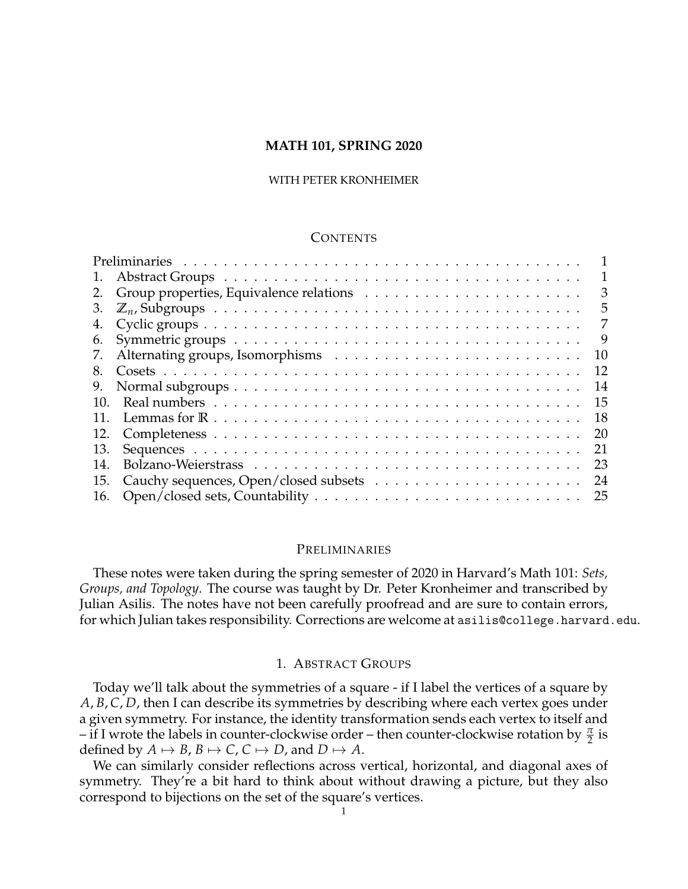# **MATH 101, SPRING 2020**

## WITH PETER KRONHEIMER

# **CONTENTS**

| 1.  | 1  |
|-----|----|
| 2.  | 3  |
| 3.  | 5  |
| 4.  | 7  |
| 6.  | 9  |
| 7.  | 10 |
| 8.  | 12 |
| 9.  | 14 |
| 10. | 15 |
|     | 18 |
| 12. | 20 |
| 13. | 21 |
| 14. | 23 |
| 15. | 24 |
| 16. | 25 |

# <span id="page-0-0"></span>PRELIMINARIES

These notes were taken during the spring semester of 2020 in Harvard's Math 101: *Sets, Groups, and Topology*. The course was taught by Dr. Peter Kronheimer and transcribed by Julian Asilis. The notes have not been carefully proofread and are sure to contain errors, for which Julian takes responsibility. Corrections are welcome at asilis@college.harvard.edu.

## 1. ABSTRACT GROUPS

<span id="page-0-1"></span>Today we'll talk about the symmetries of a square - if I label the vertices of a square by *A*, *B*, *C*, *D*, then I can describe its symmetries by describing where each vertex goes under a given symmetry. For instance, the identity transformation sends each vertex to itself and – if I wrote the labels in counter-clockwise order – then counter-clockwise rotation by  $\frac{\pi}{2}$  is defined by  $A \mapsto B$ ,  $B \mapsto C$ ,  $C \mapsto D$ , and  $D \mapsto A$ .

We can similarly consider reflections across vertical, horizontal, and diagonal axes of symmetry. They're a bit hard to think about without drawing a picture, but they also correspond to bijections on the set of the square's vertices.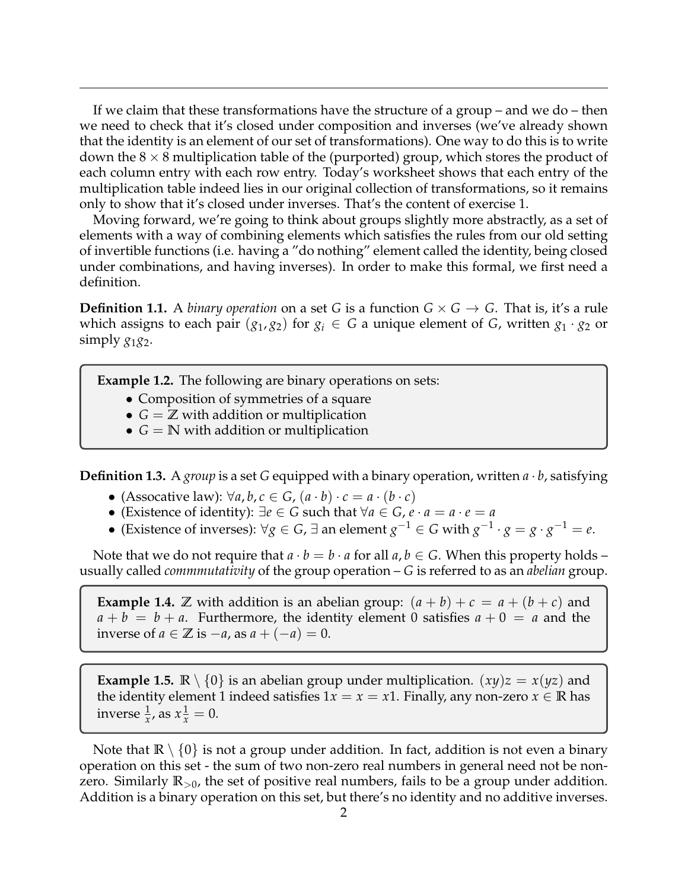If we claim that these transformations have the structure of a group – and we do – then we need to check that it's closed under composition and inverses (we've already shown that the identity is an element of our set of transformations). One way to do this is to write down the  $8 \times 8$  multiplication table of the (purported) group, which stores the product of each column entry with each row entry. Today's worksheet shows that each entry of the multiplication table indeed lies in our original collection of transformations, so it remains only to show that it's closed under inverses. That's the content of exercise 1.

Moving forward, we're going to think about groups slightly more abstractly, as a set of elements with a way of combining elements which satisfies the rules from our old setting of invertible functions (i.e. having a "do nothing" element called the identity, being closed under combinations, and having inverses). In order to make this formal, we first need a definition.

**Definition 1.1.** A *binary operation* on a set *G* is a function  $G \times G \rightarrow G$ . That is, it's a rule which assigns to each pair  $(g_1, g_2)$  for  $g_i \in G$  a unique element of *G*, written  $g_1 \cdot g_2$  or simply  $g_1g_2$ .

**Example 1.2.** The following are binary operations on sets:

- Composition of symmetries of a square
- $G = \mathbb{Z}$  with addition or multiplication
- $G = \mathbb{N}$  with addition or multiplication

**Definition 1.3.** A *group* is a set *G* equipped with a binary operation, written  $a \cdot b$ , satisfying

- (Assocative law): ∀*a*, *b*, *c* ∈ *G*, (*a* · *b*) · *c* = *a* · (*b* · *c*)
- (Existence of identity):  $\exists e \in G$  such that  $\forall a \in G$ ,  $e \cdot a = a \cdot e = a$
- $\bullet$  (Existence of inverses): ∀*g* ∈ *G*, ∃ an element *g*<sup>-1</sup> ∈ *G* with *g*<sup>-1</sup> · *g* = *g* · *g*<sup>-1</sup> = *e*.

Note that we do not require that  $a \cdot b = b \cdot a$  for all  $a, b \in G$ . When this property holds – usually called *commmutativity* of the group operation – *G* is referred to as an *abelian* group.

**Example 1.4.**  $\mathbb Z$  with addition is an abelian group:  $(a + b) + c = a + (b + c)$  and  $a + b = b + a$ . Furthermore, the identity element 0 satisfies  $a + 0 = a$  and the inverse of *a* ∈ **Z** is −*a*, as *a* + (−*a*) = 0.

**Example 1.5.**  $\mathbb{R} \setminus \{0\}$  is an abelian group under multiplication.  $(xy)z = x(yz)$  and the identity element 1 indeed satisfies  $1x = x = x1$ . Finally, any non-zero  $x \in \mathbb{R}$  has inverse  $\frac{1}{x}$ , as  $x\frac{1}{x} = 0$ .

Note that  $\mathbb{R} \setminus \{0\}$  is not a group under addition. In fact, addition is not even a binary operation on this set - the sum of two non-zero real numbers in general need not be nonzero. Similarly **R**>0, the set of positive real numbers, fails to be a group under addition. Addition is a binary operation on this set, but there's no identity and no additive inverses.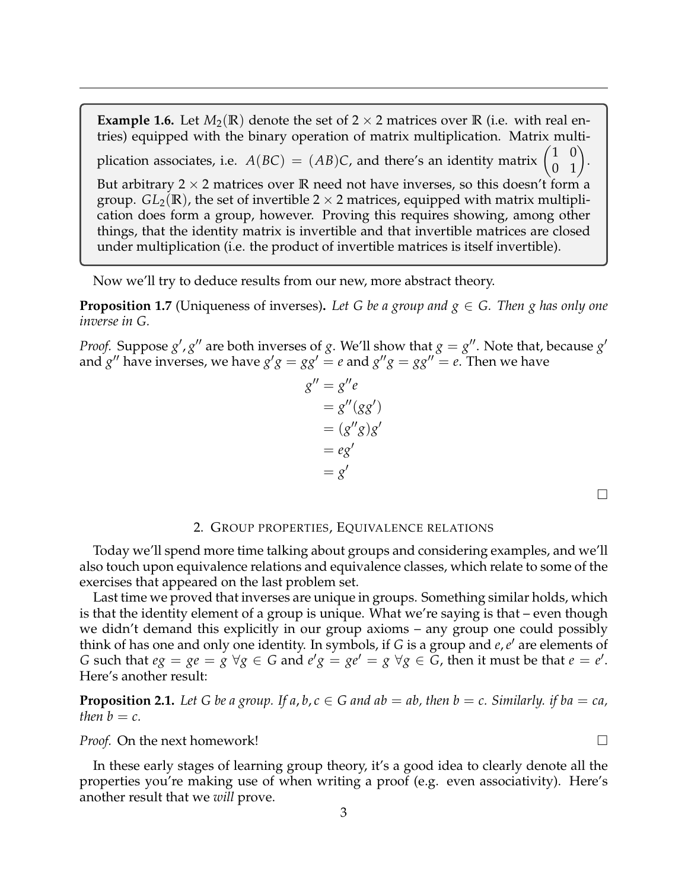**Example 1.6.** Let  $M_2(\mathbb{R})$  denote the set of 2  $\times$  2 matrices over  $\mathbb{R}$  (i.e. with real entries) equipped with the binary operation of matrix multiplication. Matrix multiplication associates, i.e.  $A(BC) = (AB)C$ , and there's an identity matrix 1 0  $\begin{pmatrix} 0 & 1 \end{pmatrix}$ . But arbitrary  $2 \times 2$  matrices over **R** need not have inverses, so this doesn't form a group.  $GL_2(\mathbb{R})$ , the set of invertible  $2 \times 2$  matrices, equipped with matrix multiplication does form a group, however. Proving this requires showing, among other things, that the identity matrix is invertible and that invertible matrices are closed under multiplication (i.e. the product of invertible matrices is itself invertible).

Now we'll try to deduce results from our new, more abstract theory.

**Proposition 1.7** (Uniqueness of inverses). Let G be a group and  $g \in G$ . Then g has only one *inverse in G.*

*Proof.* Suppose  $g'$ ,  $g''$  are both inverses of *g*. We'll show that  $g = g''$ . Note that, because  $g'$ and  $g''$  have inverses, we have  $g'g = gg' = e$  and  $g''g = gg'' = e$ . Then we have

$$
g'' = g''e
$$
  
=  $g''(gg')$   
=  $(g''g)g'$   
=  $eg'$   
=  $g'$ 

 $\Box$ 

### 2. GROUP PROPERTIES, EQUIVALENCE RELATIONS

<span id="page-2-0"></span>Today we'll spend more time talking about groups and considering examples, and we'll also touch upon equivalence relations and equivalence classes, which relate to some of the exercises that appeared on the last problem set.

Last time we proved that inverses are unique in groups. Something similar holds, which is that the identity element of a group is unique. What we're saying is that – even though we didn't demand this explicitly in our group axioms – any group one could possibly think of has one and only one identity. In symbols, if *G* is a group and *e*, *e'* are elements of *G* such that  $eg = ge = g \ \forall g \in G$  and  $e'g = ge' = g \ \forall g \in G$ , then it must be that  $e = e'$ . Here's another result:

**Proposition 2.1.** Let G be a group. If  $a, b, c \in G$  and  $ab = ab$ , then  $b = c$ . Similarly. if  $ba = ca$ , *then*  $b = c$ *.* 

*Proof.* On the next homework! □

In these early stages of learning group theory, it's a good idea to clearly denote all the properties you're making use of when writing a proof (e.g. even associativity). Here's another result that we *will* prove.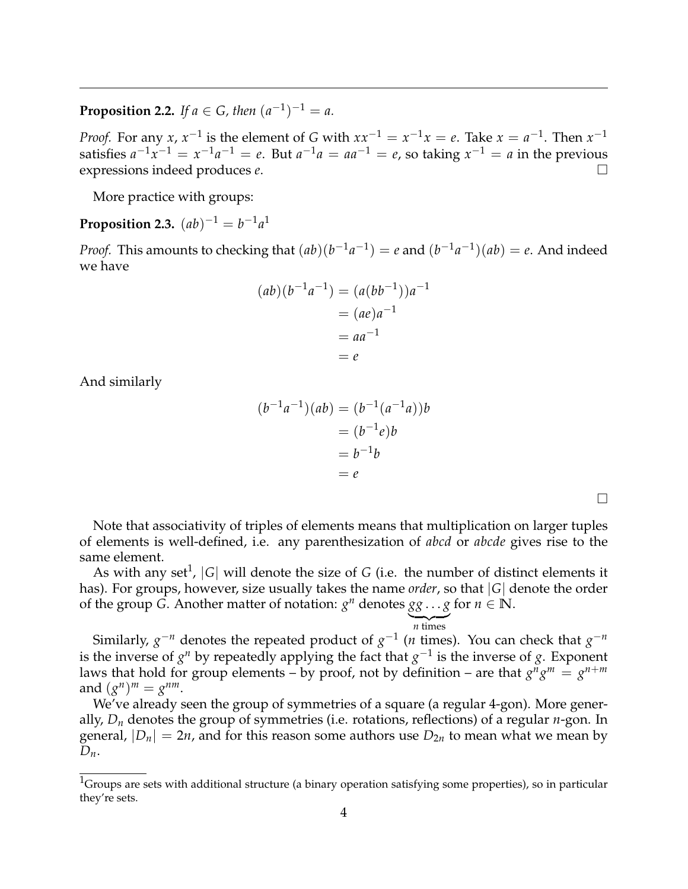**Proposition 2.2.** *If*  $a \in G$ *, then*  $(a^{-1})^{-1} = a$ *.* 

*Proof.* For any *x*,  $x^{-1}$  is the element of *G* with  $xx^{-1} = x^{-1}x = e$ . Take  $x = a^{-1}$ . Then  $x^{-1}$ satisfies  $a^{-1}x^{-1} = x^{-1}a^{-1} = e$ . But  $a^{-1}a = aa^{-1} = e$ , so taking  $x^{-1} = a$  in the previous expressions indeed produces *e*.

More practice with groups:

**Proposition 2.3.**  $(ab)^{-1} = b^{-1}a^1$ 

*Proof.* This amounts to checking that  $(ab)(b^{-1}a^{-1}) = e$  and  $(b^{-1}a^{-1})(ab) = e$ . And indeed we have

$$
(ab)(b^{-1}a^{-1}) = (a(bb^{-1}))a^{-1}
$$

$$
= (ae)a^{-1}
$$

$$
= aa^{-1}
$$

$$
= e
$$

And similarly

$$
(b^{-1}a^{-1})(ab) = (b^{-1}(a^{-1}a))b
$$

$$
= (b^{-1}e)b
$$

$$
= b^{-1}b
$$

$$
= e
$$

Note that associativity of triples of elements means that multiplication on larger tuples of elements is well-defined, i.e. any parenthesization of *abcd* or *abcde* gives rise to the same element.

As with any set<sup>[1](#page-3-0)</sup>,  $|G|$  will denote the size of  $G$  (i.e. the number of distinct elements it has). For groups, however, size usually takes the name *order*, so that |*G*| denote the order of the group *G*. Another matter of notation:  $g^n$  denotes  $gg \ldots g$  for  $n \in \mathbb{N}$ .

 $\overline{n}$  times Similarly,  $g^{-n}$  denotes the repeated product of  $g^{-1}$  (*n* times). You can check that  $g^{-n}$ is the inverse of  $g<sup>n</sup>$  by repeatedly applying the fact that  $g<sup>-1</sup>$  is the inverse of *g*. Exponent laws that hold for group elements – by proof, not by definition – are that  $g^{\bar{n}}g^{\bar{m}} = g^{n+m}$ and  $(g^n)^m = g^{nm}$ .

We've already seen the group of symmetries of a square (a regular 4-gon). More generally, *D<sup>n</sup>* denotes the group of symmetries (i.e. rotations, reflections) of a regular *n*-gon. In general, |*Dn*| = 2*n*, and for this reason some authors use *D*2*<sup>n</sup>* to mean what we mean by  $D_n$ .

<span id="page-3-0"></span> $1$ Groups are sets with additional structure (a binary operation satisfying some properties), so in particular they're sets.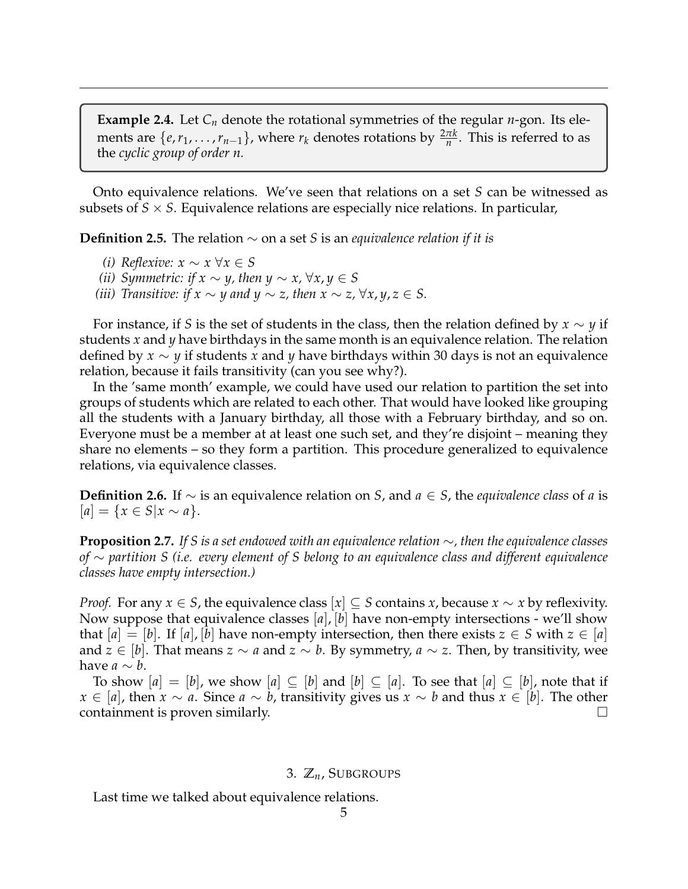**Example 2.4.** Let  $C_n$  denote the rotational symmetries of the regular *n*-gon. Its elements are  $\{e, r_1, \ldots, r_{n-1}\}$ , where  $r_k$  denotes rotations by  $\frac{2\pi k}{n}$ . This is referred to as the *cyclic group of order n.*

Onto equivalence relations. We've seen that relations on a set *S* can be witnessed as subsets of  $S \times S$ . Equivalence relations are especially nice relations. In particular,

**Definition 2.5.** The relation ∼ on a set *S* is an *equivalence relation if it is*

- *(i) Reflexive:*  $x \sim x \ \forall x \in S$
- *(ii) Symmetric: if*  $x \sim y$ *, then*  $y \sim x$ *,* ∀ $x, y \in S$
- *(iii) Transitive: if*  $x \sim y$  *and*  $y \sim z$ , *then*  $x \sim z$ ,  $\forall x, y, z \in S$ .

For instance, if *S* is the set of students in the class, then the relation defined by *x* ∼ *y* if students *x* and *y* have birthdays in the same month is an equivalence relation. The relation defined by *x* ∼ *y* if students *x* and *y* have birthdays within 30 days is not an equivalence relation, because it fails transitivity (can you see why?).

In the 'same month' example, we could have used our relation to partition the set into groups of students which are related to each other. That would have looked like grouping all the students with a January birthday, all those with a February birthday, and so on. Everyone must be a member at at least one such set, and they're disjoint – meaning they share no elements – so they form a partition. This procedure generalized to equivalence relations, via equivalence classes.

**Definition 2.6.** If ∼ is an equivalence relation on *S*, and *a* ∈ *S*, the *equivalence class* of *a* is  $[a] = \{x \in S | x \sim a\}.$ 

**Proposition 2.7.** *If S is a set endowed with an equivalence relation* ∼*, then the equivalence classes of* ∼ *partition S (i.e. every element of S belong to an equivalence class and different equivalence classes have empty intersection.)*

*Proof.* For any  $x \in S$ , the equivalence class  $[x] \subseteq S$  contains *x*, because  $x \sim x$  by reflexivity. Now suppose that equivalence classes [*a*], [*b*] have non-empty intersections - we'll show that  $[a] = [b]$ . If  $[a]$ ,  $[b]$  have non-empty intersection, then there exists  $z \in S$  with  $z \in [a]$ and *z* ∈ [*b*]. That means *z* ∼ *a* and *z* ∼ *b*. By symmetry, *a* ∼ *z*. Then, by transitivity, wee have *a*  $\sim b$ .

To show  $[a] = [b]$ , we show  $[a] \subseteq [b]$  and  $[b] \subseteq [a]$ . To see that  $[a] \subseteq [b]$ , note that if *x* ∈ [*a*], then *x* ∼ *a*. Since *a* ∼ *b*, transitivity gives us *x* ∼ *b* and thus *x* ∈ [*b*]. The other containment is proven similarly.  $\Box$ 

## 3. **Z***n*, SUBGROUPS

<span id="page-4-0"></span>Last time we talked about equivalence relations.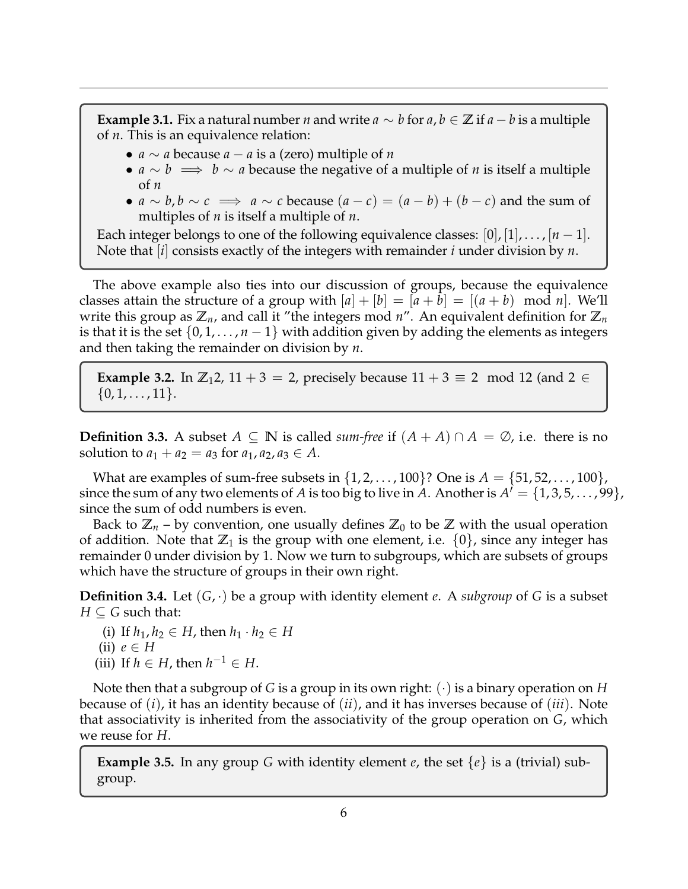**Example 3.1.** Fix a natural number *n* and write  $a \sim b$  for  $a, b \in \mathbb{Z}$  if  $a - b$  is a multiple of *n*. This is an equivalence relation:

- *a* ∼ *a* because *a* − *a* is a (zero) multiple of *n*
- *a* ∼ *b* =⇒ *b* ∼ *a* because the negative of a multiple of *n* is itself a multiple of *n*
- $a \sim b, b \sim c \implies a \sim c$  because  $(a-c) = (a-b) + (b-c)$  and the sum of multiples of *n* is itself a multiple of *n*.

Each integer belongs to one of the following equivalence classes:  $[0], [1], \ldots, [n-1].$ Note that [*i*] consists exactly of the integers with remainder *i* under division by *n*.

The above example also ties into our discussion of groups, because the equivalence classes attain the structure of a group with  $|a| + |b| = |a + b| = |(a + b) \mod n|$ . We'll write this group as  $\mathbb{Z}_n$ , and call it "the integers mod  $n$ ". An equivalent definition for  $\mathbb{Z}_n$ is that it is the set  $\{0, 1, \ldots, n-1\}$  with addition given by adding the elements as integers and then taking the remainder on division by *n*.

**Example 3.2.** In  $\mathbb{Z}_12$ , 11 + 3 = 2, precisely because  $11 + 3 \equiv 2 \mod 12$  (and  $2 \in$  $\{0, 1, \ldots, 11\}.$ 

**Definition 3.3.** A subset *A* ⊆ **N** is called *sum-free* if  $(A + A) ∩ A = ∅$ , i.e. there is no solution to  $a_1 + a_2 = a_3$  for  $a_1, a_2, a_3 \in A$ .

What are examples of sum-free subsets in  $\{1, 2, ..., 100\}$ ? One is  $A = \{51, 52, ..., 100\}$ , since the sum of any two elements of *A* is too big to live in *A*. Another is  $A' = \{1, 3, 5, \ldots, 99\},$ since the sum of odd numbers is even.

Back to  $\mathbb{Z}_n$  – by convention, one usually defines  $\mathbb{Z}_0$  to be  $\mathbb{Z}$  with the usual operation of addition. Note that  $\mathbb{Z}_1$  is the group with one element, i.e.  $\{0\}$ , since any integer has remainder 0 under division by 1. Now we turn to subgroups, which are subsets of groups which have the structure of groups in their own right.

**Definition 3.4.** Let  $(G, \cdot)$  be a group with identity element *e*. A *subgroup* of *G* is a subset  $H \subseteq G$  such that:

- (i) If  $h_1, h_2 \in H$ , then  $h_1 \cdot h_2 \in H$
- (ii)  $e \in H$
- (iii) If  $h \in H$ , then  $h^{-1} \in H$ .

Note then that a subgroup of *G* is a group in its own right: (·) is a binary operation on *H* because of (*i*), it has an identity because of (*ii*), and it has inverses because of (*iii*). Note that associativity is inherited from the associativity of the group operation on *G*, which we reuse for *H*.

**Example 3.5.** In any group *G* with identity element *e*, the set  $\{e\}$  is a (trivial) subgroup.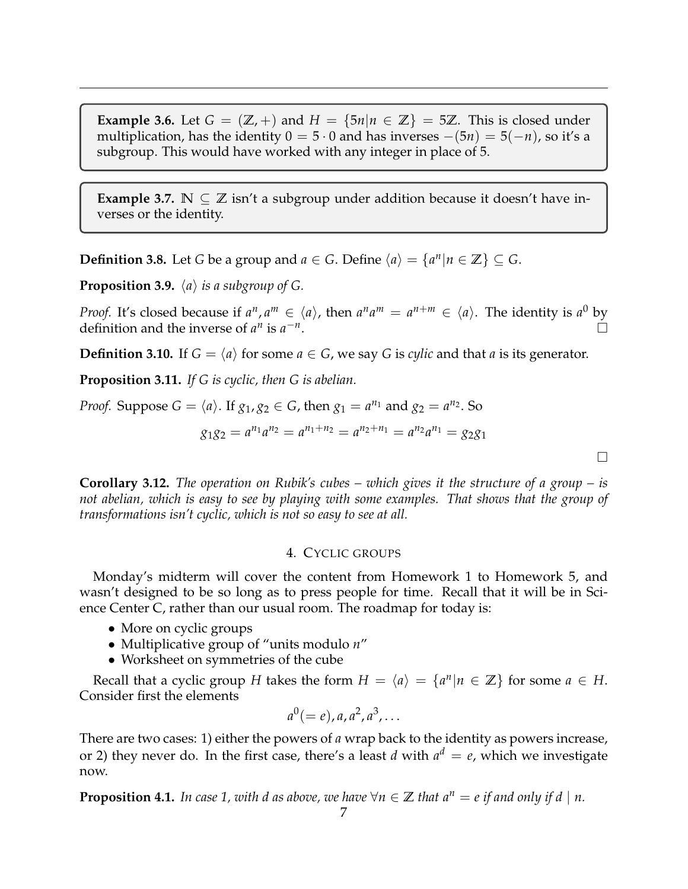**Example 3.6.** Let  $G = (\mathbb{Z}, +)$  and  $H = \{5n | n \in \mathbb{Z}\} = 5\mathbb{Z}$ . This is closed under multiplication, has the identity  $0 = 5 \cdot 0$  and has inverses  $-(5n) = 5(-n)$ , so it's a subgroup. This would have worked with any integer in place of 5.

**Example 3.7.**  $\mathbb{N} \subseteq \mathbb{Z}$  isn't a subgroup under addition because it doesn't have inverses or the identity.

**Definition 3.8.** Let *G* be a group and *a*  $\in$  *G*. Define  $\langle a \rangle = \{a^n | n \in \mathbb{Z}\} \subseteq G$ .

**Proposition 3.9.**  $\langle a \rangle$  *is a subgroup of G.* 

*Proof.* It's closed because if  $a^n, a^m \in \langle a \rangle$ , then  $a^n a^m = a^{n+m} \in \langle a \rangle$ . The identity is  $a^0$  by definition and the inverse of  $a^n$  is  $a^{-n}$ .

**Definition 3.10.** If  $G = \langle a \rangle$  for some  $a \in G$ , we say *G* is *cylic* and that *a* is its generator.

**Proposition 3.11.** *If G is cyclic, then G is abelian.*

*Proof.* Suppose 
$$
G = \langle a \rangle
$$
. If  $g_1, g_2 \in G$ , then  $g_1 = a^{n_1}$  and  $g_2 = a^{n_2}$ . So  

$$
g_1 g_2 = a^{n_1} a^{n_2} = a^{n_1 + n_2} = a^{n_2 + n_1} = a^{n_2} a^{n_1} = g_2 g_1
$$

**Corollary 3.12.** *The operation on Rubik's cubes – which gives it the structure of a group – is not abelian, which is easy to see by playing with some examples. That shows that the group of transformations isn't cyclic, which is not so easy to see at all.*

# 4. CYCLIC GROUPS

<span id="page-6-0"></span>Monday's midterm will cover the content from Homework 1 to Homework 5, and wasn't designed to be so long as to press people for time. Recall that it will be in Science Center C, rather than our usual room. The roadmap for today is:

- More on cyclic groups
- Multiplicative group of "units modulo *n*"
- Worksheet on symmetries of the cube

Recall that a cyclic group *H* takes the form  $H = \langle a \rangle = \{a^n | n \in \mathbb{Z}\}$  for some  $a \in H$ . Consider first the elements

$$
a^0(=e), a, a^2, a^3, \ldots
$$

There are two cases: 1) either the powers of *a* wrap back to the identity as powers increase, or 2) they never do. In the first case, there's a least  $d$  with  $a^d = e$ , which we investigate now.

**Proposition 4.1.** *In case 1, with d as above, we have*  $\forall n \in \mathbb{Z}$  *that*  $a^n = e$  *if and only if d* | *n.*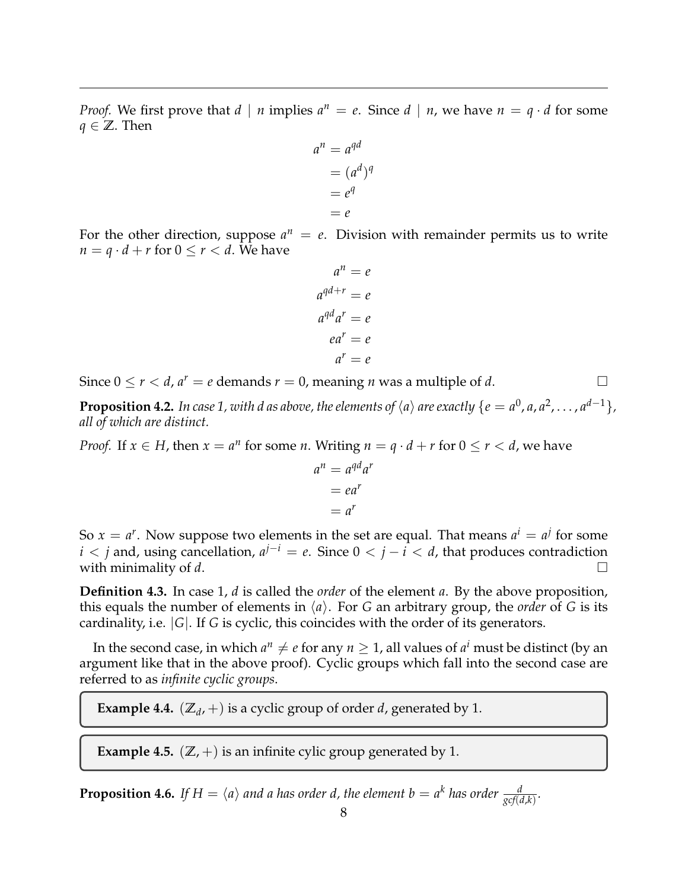*Proof.* We first prove that  $d \mid n$  implies  $a^n = e$ . Since  $d \mid n$ , we have  $n = q \cdot d$  for some *q* ∈  $\mathbb{Z}$ . Then

$$
an = aqd
$$
  
=  $(ad)q$   
=  $eq$   
=  $e$ 

For the other direction, suppose  $a^n = e$ . Division with remainder permits us to write  $n = q \cdot d + r$  for  $0 \le r < d$ . We have

$$
a^{n} = e
$$

$$
a^{qd+r} = e
$$

$$
a^{qd}a^{r} = e
$$

$$
ea^{r} = e
$$

$$
a^{r} = e
$$

Since  $0 \le r < d$ ,  $a^r = e$  demands  $r = 0$ , meaning *n* was a multiple of *d*.

**Proposition 4.2.** In case 1, with d as above, the elements of  $\langle a \rangle$  are exactly  $\{e = a^0, a, a^2, \ldots, a^{d-1}\},$ *all of which are distinct.*

*Proof.* If  $x \in H$ , then  $x = a^n$  for some *n*. Writing  $n = q \cdot d + r$  for  $0 \le r < d$ , we have

$$
an = aqdar
$$

$$
= ear
$$

$$
= ar
$$

So  $x = a^r$ . Now suppose two elements in the set are equal. That means  $a^i = a^j$  for some *i* < *j* and, using cancellation,  $a^{j-i} = e$ . Since 0 < *j* − *i* < *d*, that produces contradiction with minimality of *d*.

**Definition 4.3.** In case 1, *d* is called the *order* of the element *a*. By the above proposition, this equals the number of elements in  $\langle a \rangle$ . For *G* an arbitrary group, the *order* of *G* is its cardinality, i.e. |*G*|. If *G* is cyclic, this coincides with the order of its generators.

In the second case, in which  $a^n \neq e$  for any  $n \geq 1$ , all values of  $a^i$  must be distinct (by an argument like that in the above proof). Cyclic groups which fall into the second case are referred to as *infinite cyclic groups*.

**Example 4.4.**  $(\mathbb{Z}_d, +)$  is a cyclic group of order *d*, generated by 1.

**Example 4.5.**  $(\mathbb{Z}, +)$  is an infinite cylic group generated by 1.

**Proposition 4.6.** If  $H = \langle a \rangle$  and a has order d, the element  $b = a^k$  has order  $\frac{d}{\text{gcf}(d,k)}$ .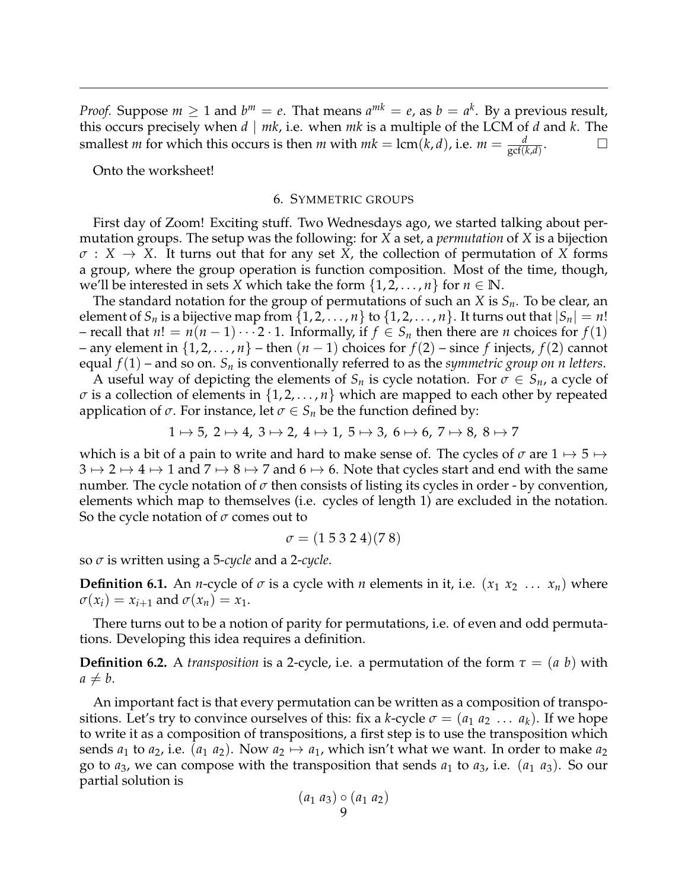*Proof.* Suppose  $m \geq 1$  and  $b^m = e$ . That means  $a^{mk} = e$ , as  $b = a^k$ . By a previous result, this occurs precisely when *d* | *mk*, i.e. when *mk* is a multiple of the LCM of *d* and *k*. The smallest *m* for which this occurs is then *m* with  $mk = \text{lcm}(k, d)$ , i.e.  $m = \frac{d}{\text{gcf}(k, d)}$ . — П

<span id="page-8-0"></span>Onto the worksheet!

### 6. SYMMETRIC GROUPS

First day of Zoom! Exciting stuff. Two Wednesdays ago, we started talking about permutation groups. The setup was the following: for *X* a set, a *permutation* of *X* is a bijection  $\sigma: X \to X$ . It turns out that for any set *X*, the collection of permutation of *X* forms a group, where the group operation is function composition. Most of the time, though, we'll be interested in sets *X* which take the form  $\{1, 2, \ldots, n\}$  for  $n \in \mathbb{N}$ .

The standard notation for the group of permutations of such an *X* is *Sn*. To be clear, an element of  $S_n$  is a bijective map from  $\{1, 2, ..., n\}$  to  $\{1, 2, ..., n\}$ . It turns out that  $|S_n| = n!$ – recall that *n*! = *n*(*n* − 1) · · · 2 · 1. Informally, if *f* ∈ *S<sub>n</sub>* then there are *n* choices for *f*(1) – any element in  $\{1, 2, ..., n\}$  – then  $(n − 1)$  choices for  $f(2)$  – since  $f$  injects,  $f(2)$  cannot equal *f*(1) – and so on. *S<sup>n</sup>* is conventionally referred to as the *symmetric group on n letters*.

A useful way of depicting the elements of  $S_n$  is cycle notation. For  $\sigma \in S_n$ , a cycle of  $\sigma$  is a collection of elements in  $\{1, 2, \ldots, n\}$  which are mapped to each other by repeated application of  $\sigma$ . For instance, let  $\sigma \in S_n$  be the function defined by:

$$
1 \mapsto 5, 2 \mapsto 4, 3 \mapsto 2, 4 \mapsto 1, 5 \mapsto 3, 6 \mapsto 6, 7 \mapsto 8, 8 \mapsto 7
$$

which is a bit of a pain to write and hard to make sense of. The cycles of  $\sigma$  are  $1 \mapsto 5 \mapsto$  $3 \mapsto 2 \mapsto 4 \mapsto 1$  and  $7 \mapsto 8 \mapsto 7$  and  $6 \mapsto 6$ . Note that cycles start and end with the same number. The cycle notation of  $\sigma$  then consists of listing its cycles in order - by convention, elements which map to themselves (i.e. cycles of length 1) are excluded in the notation. So the cycle notation of *σ* comes out to

$$
\sigma = (1\ 5\ 3\ 2\ 4)(7\ 8)
$$

so *σ* is written using a 5-*cycle* and a 2-*cycle*.

**Definition 6.1.** An *n*-cycle of  $\sigma$  is a cycle with *n* elements in it, i.e.  $(x_1 x_2 \ldots x_n)$  where  $\sigma(x_i) = x_{i+1}$  and  $\sigma(x_n) = x_1$ .

There turns out to be a notion of parity for permutations, i.e. of even and odd permutations. Developing this idea requires a definition.

**Definition 6.2.** A *transposition* is a 2-cycle, i.e. a permutation of the form  $\tau = (a \; b)$  with  $a \neq b$ .

An important fact is that every permutation can be written as a composition of transpositions. Let's try to convince ourselves of this: fix a *k*-cycle  $\sigma = (a_1 \ a_2 \ \dots \ a_k)$ . If we hope to write it as a composition of transpositions, a first step is to use the transposition which sends  $a_1$  to  $a_2$ , i.e.  $(a_1 \ a_2)$ . Now  $a_2 \mapsto a_1$ , which isn't what we want. In order to make  $a_2$ go to  $a_3$ , we can compose with the transposition that sends  $a_1$  to  $a_3$ , i.e.  $(a_1, a_3)$ . So our partial solution is

$$
(a_1 \ a_3) \circ (a_1 \ a_2)
$$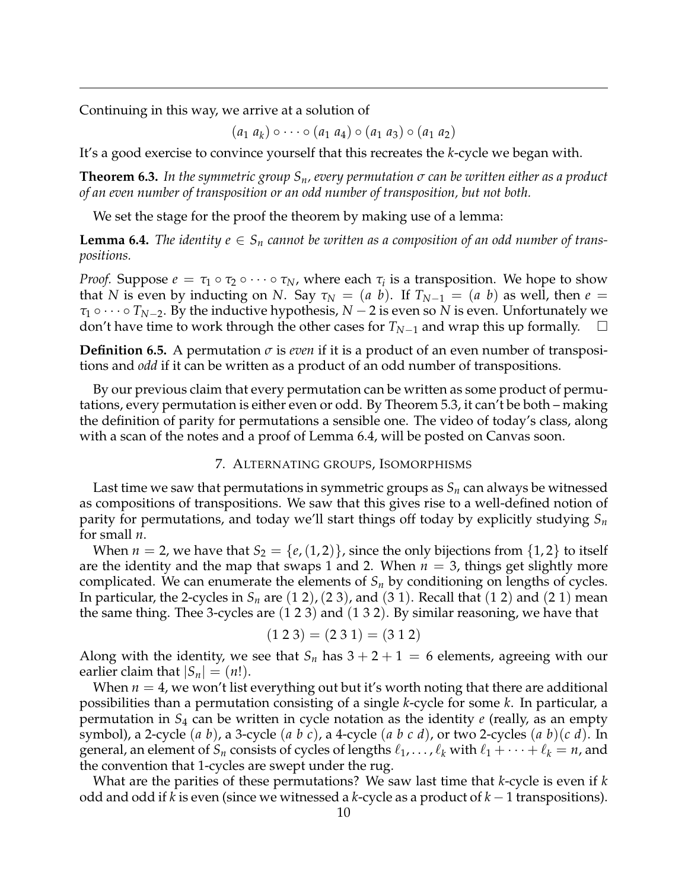Continuing in this way, we arrive at a solution of

 $(a_1 \ a_k) \circ \cdots \circ (a_1 \ a_4) \circ (a_1 \ a_3) \circ (a_1 \ a_2)$ 

It's a good exercise to convince yourself that this recreates the *k*-cycle we began with.

**Theorem 6.3.** *In the symmetric group Sn, every permutation σ can be written either as a product of an even number of transposition or an odd number of transposition, but not both.*

We set the stage for the proof the theorem by making use of a lemma:

**Lemma 6.4.** The identity  $e \in S_n$  cannot be written as a composition of an odd number of trans*positions.*

*Proof.* Suppose  $e = \tau_1 \circ \tau_2 \circ \cdots \circ \tau_N$ , where each  $\tau_i$  is a transposition. We hope to show that *N* is even by inducting on *N*. Say  $\tau_N = (a \; b)$ . If  $T_{N-1} = (a \; b)$  as well, then  $e =$  $\tau_1 \circ \cdots \circ T_{N-2}$ . By the inductive hypothesis,  $N-2$  is even so *N* is even. Unfortunately we don't have time to work through the other cases for *<sup>T</sup>N*−<sup>1</sup> and wrap this up formally.

**Definition 6.5.** A permutation *σ* is *even* if it is a product of an even number of transpositions and *odd* if it can be written as a product of an odd number of transpositions.

By our previous claim that every permutation can be written as some product of permutations, every permutation is either even or odd. By Theorem 5.3, it can't be both – making the definition of parity for permutations a sensible one. The video of today's class, along with a scan of the notes and a proof of Lemma 6.4, will be posted on Canvas soon.

## 7. ALTERNATING GROUPS, ISOMORPHISMS

<span id="page-9-0"></span>Last time we saw that permutations in symmetric groups as  $S_n$  can always be witnessed as compositions of transpositions. We saw that this gives rise to a well-defined notion of parity for permutations, and today we'll start things off today by explicitly studying *S<sup>n</sup>* for small *n*.

When  $n = 2$ , we have that  $S_2 = \{e, (1, 2)\}\$ , since the only bijections from  $\{1, 2\}$  to itself are the identity and the map that swaps 1 and 2. When  $n = 3$ , things get slightly more complicated. We can enumerate the elements of  $S_n$  by conditioning on lengths of cycles. In particular, the 2-cycles in  $S_n$  are  $(1 2)$ ,  $(2 3)$ , and  $(3 1)$ . Recall that  $(1 2)$  and  $(2 1)$  mean the same thing. Thee 3-cycles are (1 2 3) and (1 3 2). By similar reasoning, we have that

$$
(1\ 2\ 3) = (2\ 3\ 1) = (3\ 1\ 2)
$$

Along with the identity, we see that  $S_n$  has  $3 + 2 + 1 = 6$  elements, agreeing with our earlier claim that  $|S_n| = (n!)$ .

When  $n = 4$ , we won't list everything out but it's worth noting that there are additional possibilities than a permutation consisting of a single *k*-cycle for some *k*. In particular, a permutation in *S*<sup>4</sup> can be written in cycle notation as the identity *e* (really, as an empty symbol), a 2-cycle (*a b*), a 3-cycle (*a b c*), a 4-cycle (*a b c d*), or two 2-cycles (*a b*)(*c d*). In general, an element of  $S_n$  consists of cycles of lengths  $\ell_1, \ldots, \ell_k$  with  $\ell_1 + \cdots + \ell_k = n$ , and the convention that 1-cycles are swept under the rug.

What are the parities of these permutations? We saw last time that *k*-cycle is even if *k* odd and odd if *k* is even (since we witnessed a *k*-cycle as a product of *k* − 1 transpositions).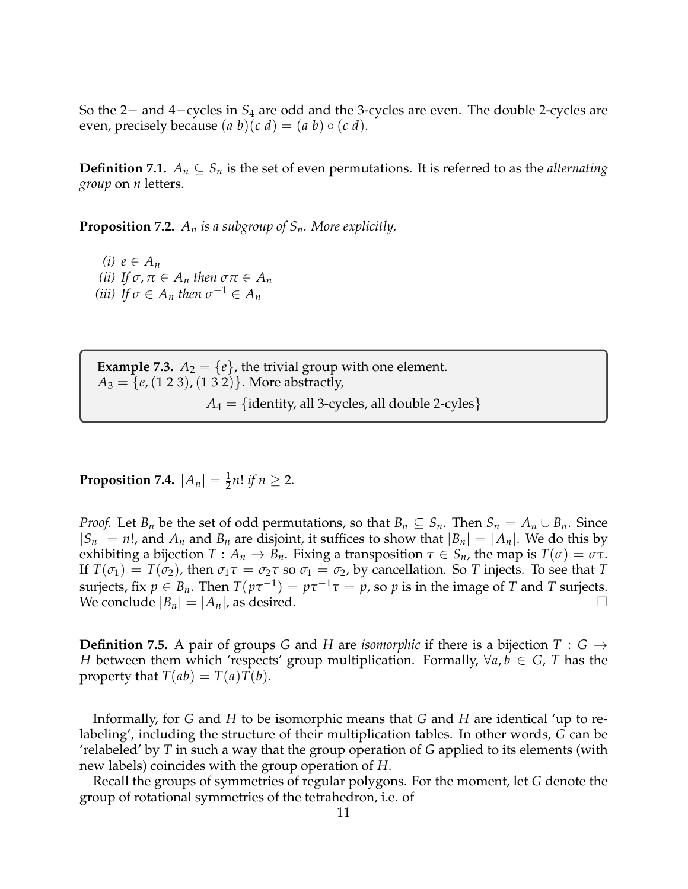So the 2− and 4−cycles in *S*<sup>4</sup> are odd and the 3-cycles are even. The double 2-cycles are even, precisely because  $(a b)(c d) = (a b) \circ (c d)$ .

**Definition 7.1.**  $A_n \subseteq S_n$  is the set of even permutations. It is referred to as the *alternating group* on *n* letters.

**Proposition 7.2.** *A<sup>n</sup> is a subgroup of Sn. More explicitly,*

*(i)*  $e \in A_n$ *(ii) If*  $\sigma$ ,  $\pi \in A_n$  *then*  $\sigma \pi \in A_n$ *(iii)* If  $\sigma \in A_n$  then  $\sigma^{-1} \in A_n$ 

**Example 7.3.**  $A_2 = \{e\}$ , the trivial group with one element.  $A_3 = \{e, (1\ 2\ 3), (1\ 3\ 2)\}\.$  More abstractly,  $A_4 = \{identity, all 3-cycles, all double 2-cycles\}$ 

**Proposition 7.4.**  $|A_n| = \frac{1}{2}n!$  *if*  $n \ge 2$ *.* 

*Proof.* Let *B<sub>n</sub>* be the set of odd permutations, so that  $B_n \subseteq S_n$ . Then  $S_n = A_n \cup B_n$ . Since  $|S_n| = n!$ , and  $A_n$  and  $B_n$  are disjoint, it suffices to show that  $|B_n| = |A_n|$ . We do this by exhibiting a bijection  $T: A_n \to B_n$ . Fixing a transposition  $\tau \in S_n$ , the map is  $T(\sigma) = \sigma \tau$ . If  $T(\sigma_1) = T(\sigma_2)$ , then  $\sigma_1 \tau = \sigma_2 \tau$  so  $\sigma_1 = \sigma_2$ , by cancellation. So *T* injects. To see that *T* surjects, fix  $p \in B_n$ . Then  $T(p\tau^{-1}) = p\tau^{-1}\tau = p$ , so  $p$  is in the image of  $T$  and  $T$  surjects. We conclude  $|B_n| = |A_n|$ , as desired.

**Definition 7.5.** A pair of groups *G* and *H* are *isomorphic* if there is a bijection  $T : G \rightarrow$ *H* between them which 'respects' group multiplication. Formally,  $\forall a, b \in G$ , *T* has the property that  $T(ab) = T(a)T(b)$ .

Informally, for *G* and *H* to be isomorphic means that *G* and *H* are identical 'up to relabeling', including the structure of their multiplication tables. In other words, *G* can be 'relabeled' by *T* in such a way that the group operation of *G* applied to its elements (with new labels) coincides with the group operation of *H*.

Recall the groups of symmetries of regular polygons. For the moment, let *G* denote the group of rotational symmetries of the tetrahedron, i.e. of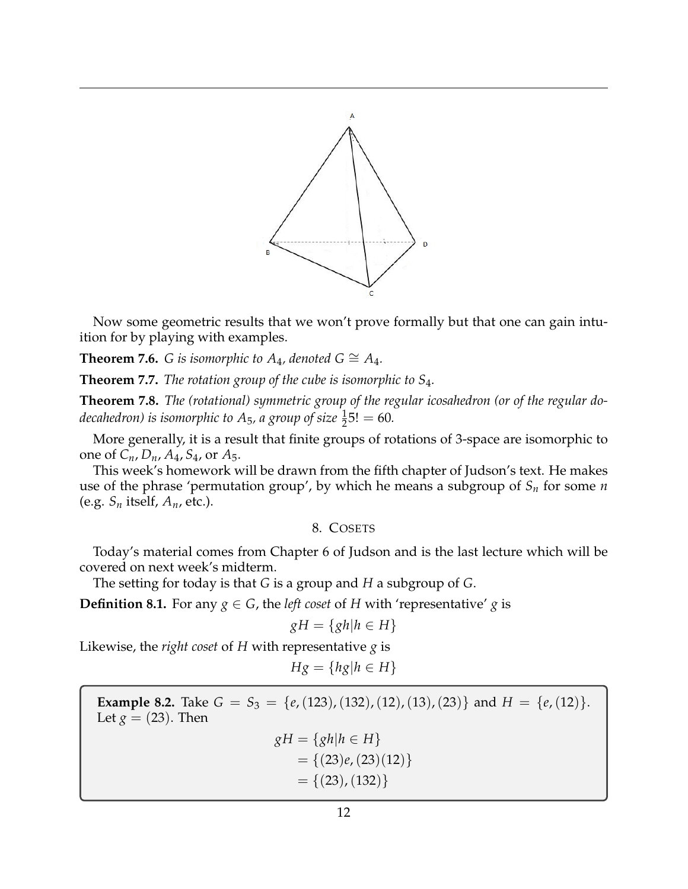

Now some geometric results that we won't prove formally but that one can gain intuition for by playing with examples.

**Theorem 7.6.** *G is isomorphic to A<sub>4</sub>, denoted G*  $\cong$  *A*<sub>4</sub>*.* 

**Theorem 7.7.** *The rotation group of the cube is isomorphic to S*4*.*

**Theorem 7.8.** *The (rotational) symmetric group of the regular icosahedron (or of the regular do*decahedron) is isomorphic to  $A_5$ , a group of size  $\frac{1}{2}5! = 60$ .

More generally, it is a result that finite groups of rotations of 3-space are isomorphic to one of *Cn*, *Dn*, *A*4, *S*4, or *A*5.

This week's homework will be drawn from the fifth chapter of Judson's text. He makes use of the phrase 'permutation group', by which he means a subgroup of *S<sup>n</sup>* for some *n* (e.g.  $S_n$  itself,  $A_n$ , etc.).

# 8. COSETS

<span id="page-11-0"></span>Today's material comes from Chapter 6 of Judson and is the last lecture which will be covered on next week's midterm.

The setting for today is that *G* is a group and *H* a subgroup of *G*.

**Definition 8.1.** For any  $g \in G$ , the *left coset* of *H* with 'representative' *g* is

$$
gH = \{gh | h \in H\}
$$

Likewise, the *right coset* of *H* with representative *g* is

$$
Hg = \{hg | h \in H\}
$$

**Example 8.2.** Take  $G = S_3 = \{e, (123), (132), (12), (13), (23)\}$  and  $H = \{e, (12)\}.$ Let  $g = (23)$ . Then  $gH = \{gh | h \in H\}$  $= \{(23)e,(23)(12)\}$ 

$$
= \{(23), (132)\}
$$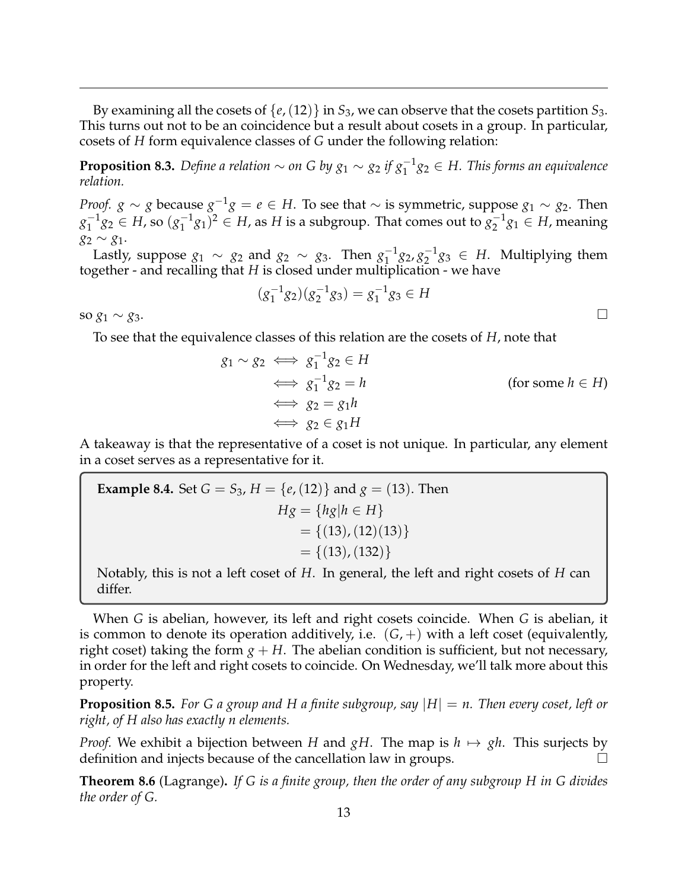By examining all the cosets of  $\{e,(12)\}\$  in  $S_3$ , we can observe that the cosets partition  $S_3$ . This turns out not to be an coincidence but a result about cosets in a group. In particular, cosets of *H* form equivalence classes of *G* under the following relation:

**Proposition 8.3.** *Define a relation*  $\sim$  *on* G by  $g_1 \sim g_2$  if  $g_1^{-1}g_2 \in H$ . This forms an equivalence *relation.*

*Proof. g* ∼ *g* because  $g^{-1}g = e \in H$ . To see that ∼ is symmetric, suppose  $g_1 \sim g_2$ . Then  $g_1^{-1}$  $\frac{1}{1}g_2 \in H$ , so  $(g_1^{-1})$  $(g_1)^2 \in H$ , as *H* is a subgroup. That comes out to  $g_2^{-1}$  $a_2^{-1}g_1 \in H$ , meaning *g*<sup>2</sup> ∼ *g*1.

Lastly, suppose  $g_1 \sim g_2$  and  $g_2 \sim g_3$ . Then  $g_1^{-1}$  $\frac{-1}{1}$ 82, 8<sub>2</sub><sup>-1</sup>  $a_2^{-1}g_3 \in H$ . Multiplying them together - and recalling that *H* is closed under multiplication - we have

$$
(g_1^{-1}g_2)(g_2^{-1}g_3) = g_1^{-1}g_3 \in H
$$

so  $g_1 \sim g_3$ .

To see that the equivalence classes of this relation are the cosets of *H*, note that

$$
g_1 \sim g_2 \iff g_1^{-1} g_2 \in H
$$
  
\n
$$
\iff g_1^{-1} g_2 = h
$$
  
\n
$$
\iff g_2 = g_1 h
$$
  
\n
$$
\iff g_2 \in g_1 H
$$
  
\n(for some  $h \in H$ )

A takeaway is that the representative of a coset is not unique. In particular, any element in a coset serves as a representative for it.

**Example 8.4.** Set 
$$
G = S_3
$$
,  $H = \{e, (12)\}$  and  $g = (13)$ . Then  
\n
$$
Hg = \{hg | h \in H\}
$$
\n
$$
= \{(13), (12)(13)\}
$$
\n
$$
= \{(13), (132)\}
$$

Notably, this is not a left coset of *H*. In general, the left and right cosets of *H* can differ.

When *G* is abelian, however, its left and right cosets coincide. When *G* is abelian, it is common to denote its operation additively, i.e.  $(G,+)$  with a left coset (equivalently, right coset) taking the form  $g + H$ . The abelian condition is sufficient, but not necessary, in order for the left and right cosets to coincide. On Wednesday, we'll talk more about this property.

**Proposition 8.5.** *For G a group and H a finite subgroup, say* |*H*| = *n. Then every coset, left or right, of H also has exactly n elements.*

*Proof.* We exhibit a bijection between *H* and *gH*. The map is  $h \mapsto gh$ . This surjects by definition and injects because of the cancellation law in groups.

**Theorem 8.6** (Lagrange)**.** *If G is a finite group, then the order of any subgroup H in G divides the order of G.*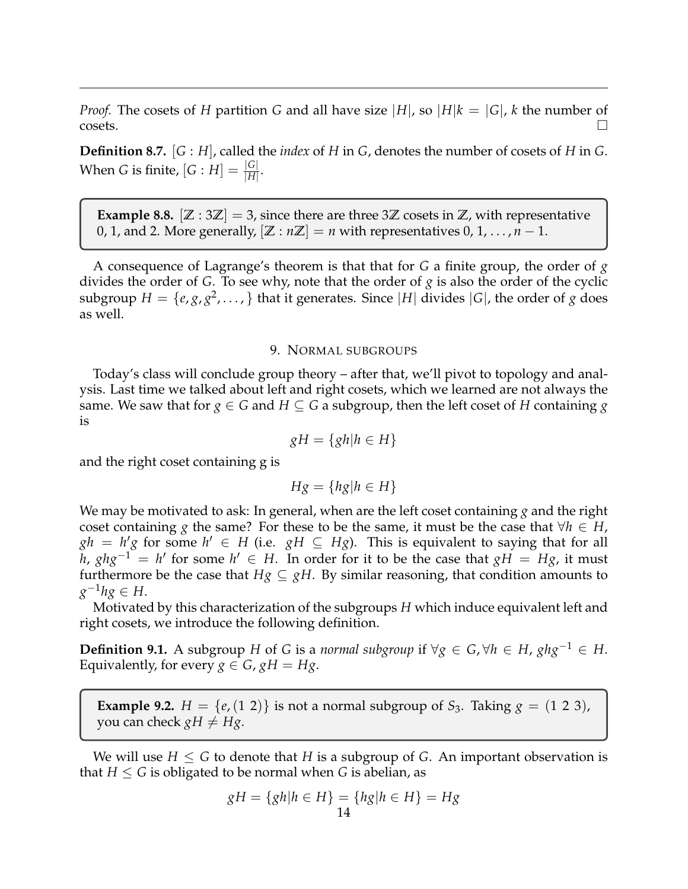*Proof.* The cosets of *H* partition *G* and all have size |*H*|, so |*H*| $k = |G|$ , *k* the number of  $\overline{\text{cosets}}$ .

**Definition 8.7.** [*G* : *H*], called the *index* of *H* in *G*, denotes the number of cosets of *H* in *G*. When *G* is finite,  $[G:H] = \frac{|G|}{|H|}$ .

**Example 8.8.**  $[\mathbb{Z} : 3\mathbb{Z}] = 3$ , since there are three 3 $\mathbb{Z}$  cosets in  $\mathbb{Z}$ , with representative 0, 1, and 2. More generally,  $[\mathbb{Z} : n\mathbb{Z}] = n$  with representatives 0, 1, ...,  $n-1$ .

A consequence of Lagrange's theorem is that that for *G* a finite group, the order of *g* divides the order of *G*. To see why, note that the order of *g* is also the order of the cyclic subgroup  $H = \{e, g, g^2, \dots \}$  that it generates. Since  $|H|$  divides  $|G|$ , the order of  $g$  does as well.

# 9. NORMAL SUBGROUPS

<span id="page-13-0"></span>Today's class will conclude group theory – after that, we'll pivot to topology and analysis. Last time we talked about left and right cosets, which we learned are not always the same. We saw that for  $g \in G$  and  $H \subseteq G$  a subgroup, then the left coset of H containing g is

$$
gH = \{gh|h \in H\}
$$

and the right coset containing g is

$$
Hg = \{hg | h \in H\}
$$

We may be motivated to ask: In general, when are the left coset containing *g* and the right coset containing *g* the same? For these to be the same, it must be the case that  $\forall h \in H$ ,  $gh = h'g$  for some  $h' \in H$  (i.e.  $gH \subseteq Hg$ ). This is equivalent to saying that for all *h*, *ghg*<sup>−1</sup> = *h*' for some *h*' ∈ *H*. In order for it to be the case that *gH* = *Hg*, it must furthermore be the case that  $Hg \subseteq gH$ . By similar reasoning, that condition amounts to *g* <sup>−</sup>1*hg* ∈ *H*.

Motivated by this characterization of the subgroups *H* which induce equivalent left and right cosets, we introduce the following definition.

**Definition 9.1.** A subgroup *H* of *G* is a *normal subgroup* if  $\forall g \in G, \forall h \in H, ghg^{-1} \in H$ . Equivalently, for every  $g \in G$ ,  $gH = Hg$ .

**Example 9.2.**  $H = \{e, (1\ 2)\}\$ is not a normal subgroup of  $S_3$ . Taking  $g = (1\ 2\ 3)$ , you can check  $gH \neq Hg$ .

We will use  $H \leq G$  to denote that *H* is a subgroup of *G*. An important observation is that  $H \leq G$  is obligated to be normal when G is abelian, as

$$
gH = \{gh|h \in H\} = \{hg|h \in H\} = Hg
$$
  
14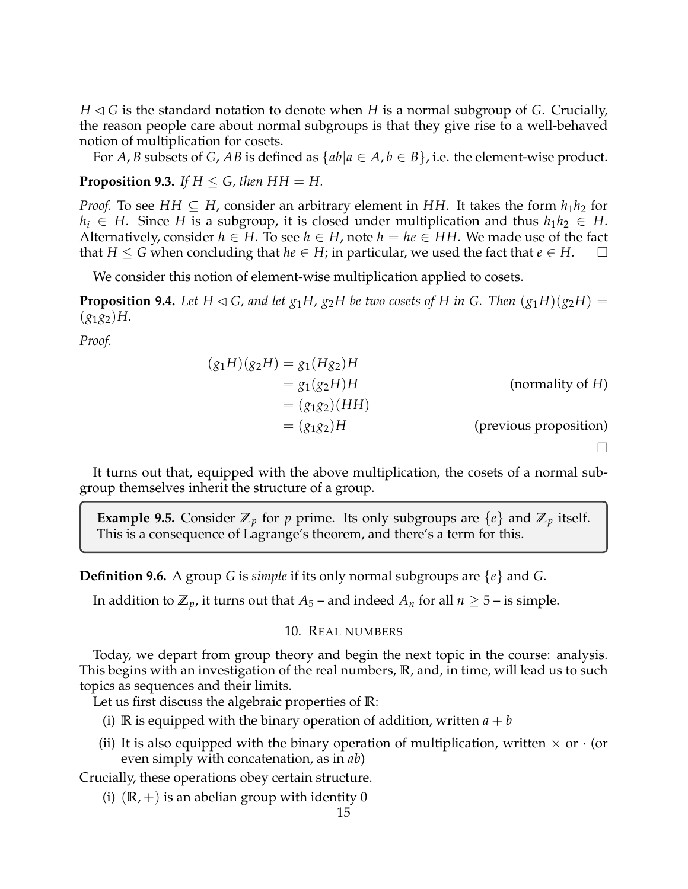$H \triangleleft G$  is the standard notation to denote when *H* is a normal subgroup of *G*. Crucially, the reason people care about normal subgroups is that they give rise to a well-behaved notion of multiplication for cosets.

For *A*, *B* subsets of *G*, *AB* is defined as  $\{ab|a \in A, b \in B\}$ , i.e. the element-wise product.

**Proposition 9.3.** *If*  $H \le G$ , *then*  $HH = H$ .

*Proof.* To see *HH*  $\subseteq$  *H*, consider an arbitrary element in *HH*. It takes the form  $h_1h_2$  for *h*<sub>*i*</sub> ∈ *H*. Since *H* is a subgroup, it is closed under multiplication and thus  $h_1h_2$  ∈ *H*. Alternatively, consider  $h \in H$ . To see  $h \in H$ , note  $h = he \in HH$ . We made use of the fact that  $H \leq G$  when concluding that  $he \in H$ ; in particular, we used the fact that  $e \in H$ .

We consider this notion of element-wise multiplication applied to cosets.

**Proposition 9.4.** Let H  $\lhd$  G, and let  $g_1H$ ,  $g_2H$  be two cosets of H in G. Then  $(g_1H)(g_2H)$  =  $(g_1g_2)H$ .

*Proof.*

$$
(g1H)(g2H) = g1(Hg2)H
$$
  
= g<sub>1</sub>(g<sub>2</sub>H)H (normality of H)  
= (g<sub>1</sub>g<sub>2</sub>)(HH)  
= (g<sub>1</sub>g<sub>2</sub>)H (previous proposition)

It turns out that, equipped with the above multiplication, the cosets of a normal subgroup themselves inherit the structure of a group.

**Example 9.5.** Consider  $\mathbb{Z}_p$  for p prime. Its only subgroups are  $\{e\}$  and  $\mathbb{Z}_p$  itself. This is a consequence of Lagrange's theorem, and there's a term for this.

**Definition 9.6.** A group *G* is *simple* if its only normal subgroups are {*e*} and *G*.

In addition to  $\mathbb{Z}_p$ , it turns out that  $A_5$  – and indeed  $A_n$  for all  $n \geq 5$  – is simple.

## 10. REAL NUMBERS

<span id="page-14-0"></span>Today, we depart from group theory and begin the next topic in the course: analysis. This begins with an investigation of the real numbers, **R**, and, in time, will lead us to such topics as sequences and their limits.

Let us first discuss the algebraic properties of **R**:

- (i) **R** is equipped with the binary operation of addition, written  $a + b$
- (ii) It is also equipped with the binary operation of multiplication, written  $\times$  or  $\cdot$  (or even simply with concatenation, as in *ab*)

Crucially, these operations obey certain structure.

(i)  $(\mathbb{R}, +)$  is an abelian group with identity 0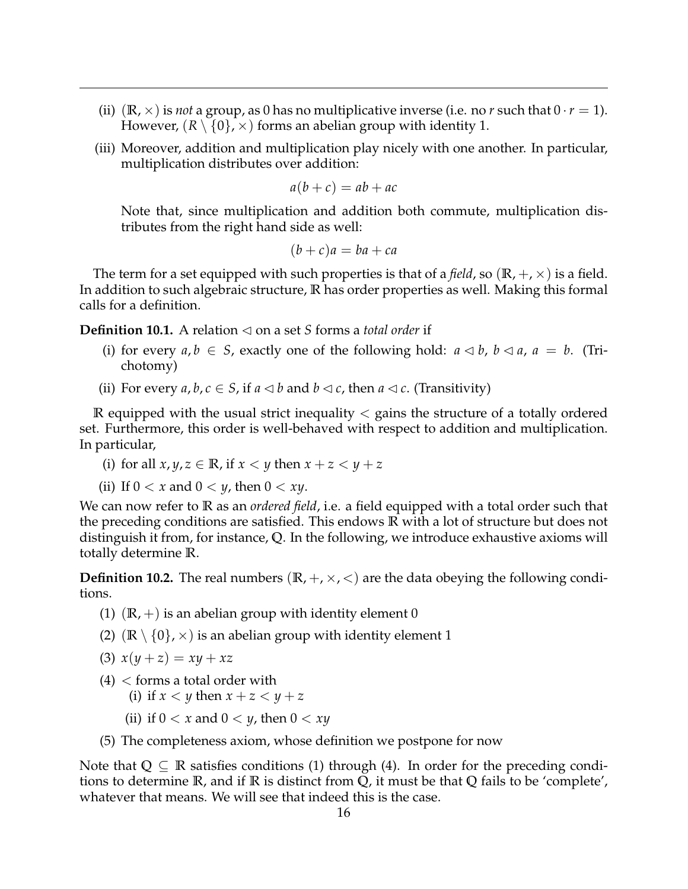- (ii)  $(\mathbb{R}, \times)$  is *not* a group, as 0 has no multiplicative inverse (i.e. no *r* such that  $0 \cdot r = 1$ ). However,  $(R \setminus \{0\}, \times)$  forms an abelian group with identity 1.
- (iii) Moreover, addition and multiplication play nicely with one another. In particular, multiplication distributes over addition:

$$
a(b+c) = ab + ac
$$

Note that, since multiplication and addition both commute, multiplication distributes from the right hand side as well:

$$
(b+c)a = ba + ca
$$

The term for a set equipped with such properties is that of a *field*, so  $(\mathbb{R}, +, \times)$  is a field. In addition to such algebraic structure, **R** has order properties as well. Making this formal calls for a definition.

**Definition 10.1.** A relation  $\triangleleft$  on a set *S* forms a *total order* if

- (i) for every  $a, b \in S$ , exactly one of the following hold:  $a \triangleleft b$ ,  $b \triangleleft a$ ,  $a = b$ . (Trichotomy)
- (ii) For every  $a, b, c \in S$ , if  $a \triangleleft b$  and  $b \triangleleft c$ , then  $a \triangleleft c$ . (Transitivity)

 $\mathbb R$  equipped with the usual strict inequality  $\lt$  gains the structure of a totally ordered set. Furthermore, this order is well-behaved with respect to addition and multiplication. In particular,

- (i) for all  $x, y, z \in \mathbb{R}$ , if  $x < y$  then  $x + z < y + z$
- (ii) If  $0 < x$  and  $0 < y$ , then  $0 < xy$ .

We can now refer to **R** as an *ordered field*, i.e. a field equipped with a total order such that the preceding conditions are satisfied. This endows **R** with a lot of structure but does not distinguish it from, for instance, **Q**. In the following, we introduce exhaustive axioms will totally determine **R**.

<span id="page-15-0"></span>**Definition 10.2.** The real numbers  $(\mathbb{R}, +, \times, <)$  are the data obeying the following conditions.

- (1)  $(\mathbb{R}, +)$  is an abelian group with identity element 0
- (2)  $(\mathbb{R} \setminus \{0\}, \times)$  is an abelian group with identity element 1
- (3)  $x(y + z) = xy + xz$
- $(4)$  < forms a total order with
	- (i) if  $x < y$  then  $x + z < y + z$
	- (ii) if  $0 < x$  and  $0 < y$ , then  $0 < xy$
- (5) The completeness axiom, whose definition we postpone for now

Note that  $Q \subseteq \mathbb{R}$  satisfies conditions (1) through (4). In order for the preceding conditions to determine **R**, and if **R** is distinct from **Q**, it must be that **Q** fails to be 'complete', whatever that means. We will see that indeed this is the case.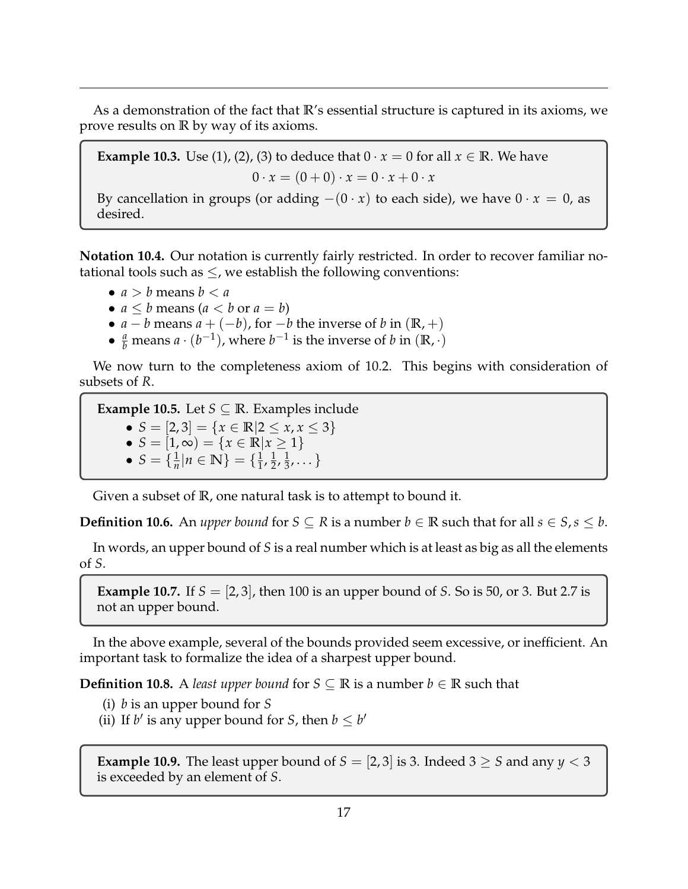As a demonstration of the fact that **R**'s essential structure is captured in its axioms, we prove results on **R** by way of its axioms.

**Example 10.3.** Use (1), (2), (3) to deduce that  $0 \cdot x = 0$  for all  $x \in \mathbb{R}$ . We have

$$
0 \cdot x = (0+0) \cdot x = 0 \cdot x + 0 \cdot x
$$

By cancellation in groups (or adding  $-(0 \cdot x)$  to each side), we have  $0 \cdot x = 0$ , as desired.

**Notation 10.4.** Our notation is currently fairly restricted. In order to recover familiar notational tools such as  $\leq$ , we establish the following conventions:

- $a > b$  means  $b < a$
- $a \leq b$  means  $(a < b$  or  $a = b)$
- *a* − *b* means *a* + (−*b*), for −*b* the inverse of *b* in ( $\mathbb{R}, +$ )
- $\frac{a}{b}$  means  $a \cdot (b^{-1})$ , where  $b^{-1}$  is the inverse of  $b$  in  $(\mathbb{R}, \cdot)$

We now turn to the completeness axiom of [10.2.](#page-15-0) This begins with consideration of subsets of *R*.

**Example 10.5.** Let  $S \subseteq \mathbb{R}$ . Examples include •  $S = [2, 3] = \{x \in \mathbb{R} | 2 \le x, x \le 3\}$ •  $S = [1, \infty) = \{x \in \mathbb{R} | x \ge 1\}$ •  $S = \{\frac{1}{n}\}$  $\frac{1}{n}|n \in \mathbb{N}$  = { $\frac{1}{1}$  $\frac{1}{1}$ ,  $\frac{1}{2}$  $\frac{1}{2}$ ,  $\frac{1}{3}$  $\frac{1}{3}, \dots \}$ 

Given a subset of **R**, one natural task is to attempt to bound it.

**Definition 10.6.** An *upper bound* for  $S \subseteq R$  is a number  $b \in \mathbb{R}$  such that for all  $s \in S$ ,  $s \leq b$ .

In words, an upper bound of *S* is a real number which is at least as big as all the elements of *S*.

**Example 10.7.** If *S* = [2, 3], then 100 is an upper bound of *S*. So is 50, or 3. But 2.7 is not an upper bound.

In the above example, several of the bounds provided seem excessive, or inefficient. An important task to formalize the idea of a sharpest upper bound.

**Definition 10.8.** A *least upper bound* for *S* ⊆ **R** is a number *b* ∈ **R** such that

- (i) *b* is an upper bound for *S*
- (ii) If *b'* is any upper bound for *S*, then  $b \leq b'$

**Example 10.9.** The least upper bound of  $S = [2, 3]$  is 3. Indeed  $3 \geq S$  and any  $y < 3$ is exceeded by an element of *S*.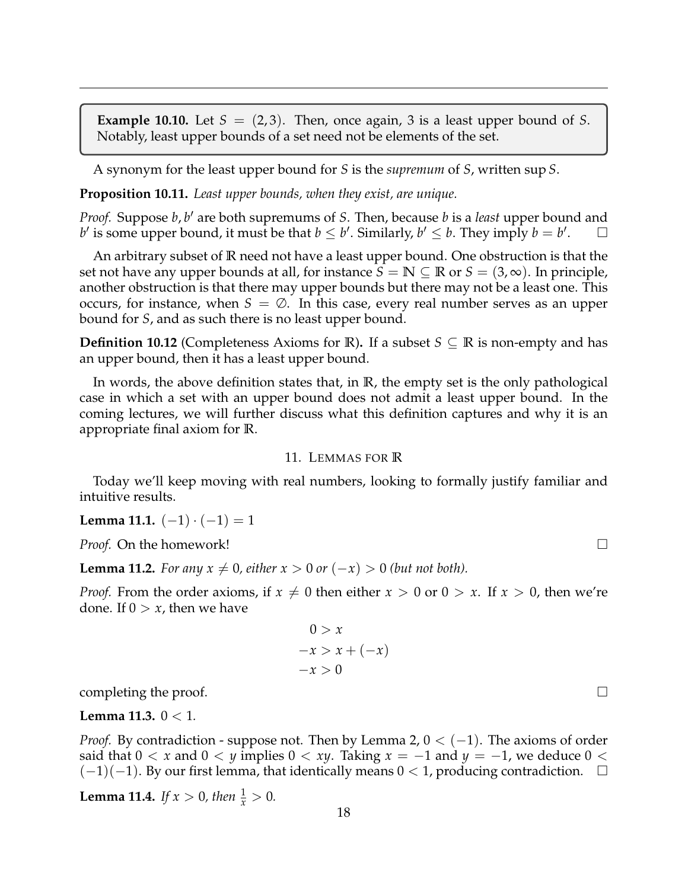**Example 10.10.** Let  $S = (2, 3)$ . Then, once again, 3 is a least upper bound of S. Notably, least upper bounds of a set need not be elements of the set.

A synonym for the least upper bound for *S* is the *supremum* of *S*, written sup *S*.

**Proposition 10.11.** *Least upper bounds, when they exist, are unique.*

*Proof.* Suppose *b*, *b'* are both supremums of *S*. Then, because *b* is a *least* upper bound and *b*' is some upper bound, it must be that  $b \leq b'$ . Similarly,  $b' \leq b$ . They imply  $b = b'$  $\Box$ 

An arbitrary subset of **R** need not have a least upper bound. One obstruction is that the set not have any upper bounds at all, for instance  $S = \mathbb{N} \subseteq \mathbb{R}$  or  $S = (3, \infty)$ . In principle, another obstruction is that there may upper bounds but there may not be a least one. This occurs, for instance, when  $S = \emptyset$ . In this case, every real number serves as an upper bound for *S*, and as such there is no least upper bound.

**Definition 10.12** (Completeness Axioms for **R**). If a subset  $S \subseteq \mathbb{R}$  is non-empty and has an upper bound, then it has a least upper bound.

In words, the above definition states that, in **R**, the empty set is the only pathological case in which a set with an upper bound does not admit a least upper bound. In the coming lectures, we will further discuss what this definition captures and why it is an appropriate final axiom for **R**.

### 11. LEMMAS FOR **R**

<span id="page-17-0"></span>Today we'll keep moving with real numbers, looking to formally justify familiar and intuitive results.

**Lemma 11.1.**  $(-1) \cdot (-1) = 1$ 

*Proof.* On the homework! □

**Lemma 11.2.** *For any*  $x \neq 0$ , either  $x > 0$  or  $(-x) > 0$  (but not both).

*Proof.* From the order axioms, if  $x \neq 0$  then either  $x > 0$  or  $0 > x$ . If  $x > 0$ , then we're done. If  $0 > x$ , then we have

$$
0 > x
$$
  
-x > x + (-x)  
-x > 0

completing the proof.

#### **Lemma 11.3.** 0 < 1*.*

*Proof.* By contradiction - suppose not. Then by Lemma 2,  $0 < (-1)$ . The axioms of order said that  $0 < x$  and  $0 < y$  implies  $0 < xy$ . Taking  $x = -1$  and  $y = -1$ , we deduce  $0 <$  $(-1)(-1)$ . By our first lemma, that identically means  $0 < 1$ , producing contradiction.  $\square$ 

**Lemma 11.4.** *If*  $x > 0$ *, then*  $\frac{1}{x} > 0$ *.*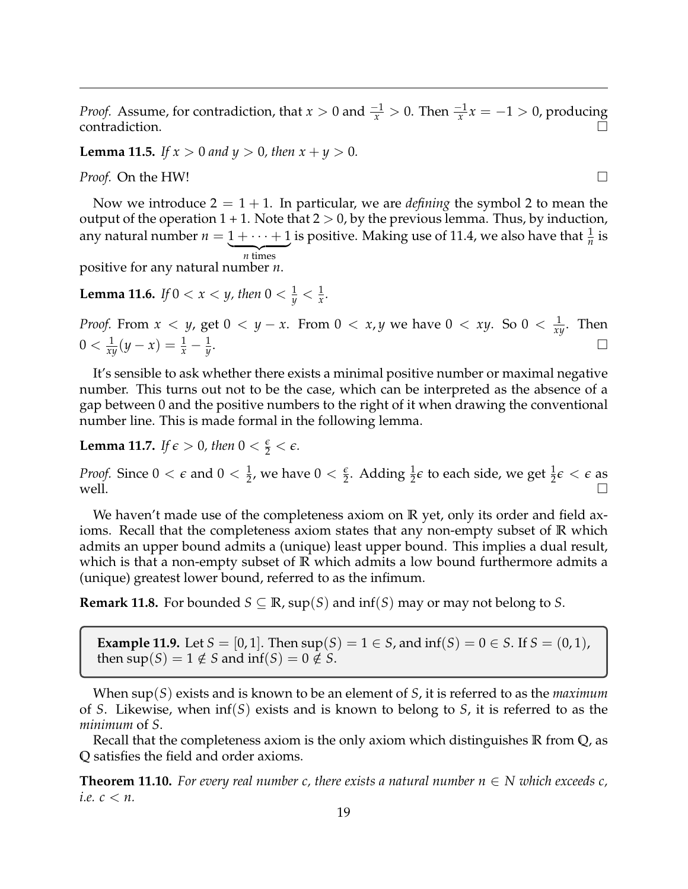*Proof.* Assume, for contradiction, that  $x > 0$  and  $\frac{-1}{x} > 0$ . Then  $\frac{-1}{x}x = -1 > 0$ , producing contradiction.  $\overrightarrow{a}$ 

**Lemma 11.5.** *If*  $x > 0$  *and*  $y > 0$ *, then*  $x + y > 0$ *.* 

*Proof.* On the HW! □

Now we introduce  $2 = 1 + 1$ . In particular, we are *defining* the symbol 2 to mean the output of the operation  $1 + 1$ . Note that  $2 > 0$ , by the previous lemma. Thus, by induction, any natural number  $n = 1 + \cdots + 1$  $\overline{n}$  times is positive. Making use of 11.4, we also have that  $\frac{1}{n}$  is

positive for any natural number *n*.

**Lemma 11.6.** *If*  $0 < x < y$ , then  $0 < \frac{1}{y} < \frac{1}{x}$ .

*Proof.* From *x < y,* get 0 < *y* − *x*. From 0 < *x, y* we have 0 < *xy*. So 0 <  $\frac{1}{xy}$ . Then  $0 < \frac{1}{xy}(y - x) = \frac{1}{x} - \frac{1}{y}$ . В последните поставите на селото на селото на селото на селото на селото на селото на селото на селото на се<br>Селото на селото на селото на селото на селото на селото на селото на селото на селото на селото на селото на

It's sensible to ask whether there exists a minimal positive number or maximal negative number. This turns out not to be the case, which can be interpreted as the absence of a gap between 0 and the positive numbers to the right of it when drawing the conventional number line. This is made formal in the following lemma.

**Lemma 11.7.** *If*  $\epsilon > 0$ *, then*  $0 < \frac{\epsilon}{2} < \epsilon$ *.* 

*Proof.* Since  $0 < \epsilon$  and  $0 < \frac{1}{2}$ , we have  $0 < \frac{\epsilon}{2}$ . Adding  $\frac{1}{2}\epsilon$  to each side, we get  $\frac{1}{2}\epsilon < \epsilon$  as well.  $\Box$ 

We haven't made use of the completeness axiom on **R** yet, only its order and field axioms. Recall that the completeness axiom states that any non-empty subset of **R** which admits an upper bound admits a (unique) least upper bound. This implies a dual result, which is that a non-empty subset of **R** which admits a low bound furthermore admits a (unique) greatest lower bound, referred to as the infimum.

**Remark 11.8.** For bounded  $S \subseteq \mathbb{R}$ , sup(S) and inf(S) may or may not belong to S.

**Example 11.9.** Let *S* = [0, 1]. Then  $\sup(S) = 1 \in S$ , and  $\inf(S) = 0 \in S$ . If  $S = (0, 1)$ , then  $\sup(S) = 1 \notin S$  and  $\inf(S) = 0 \notin S$ .

When sup(*S*) exists and is known to be an element of *S*, it is referred to as the *maximum* of *S*. Likewise, when inf(*S*) exists and is known to belong to *S*, it is referred to as the *minimum* of *S*.

Recall that the completeness axiom is the only axiom which distinguishes **R** from **Q**, as **Q** satisfies the field and order axioms.

**Theorem 11.10.** For every real number c, there exists a natural number  $n \in N$  which exceeds c, *i.e. c* < *n.*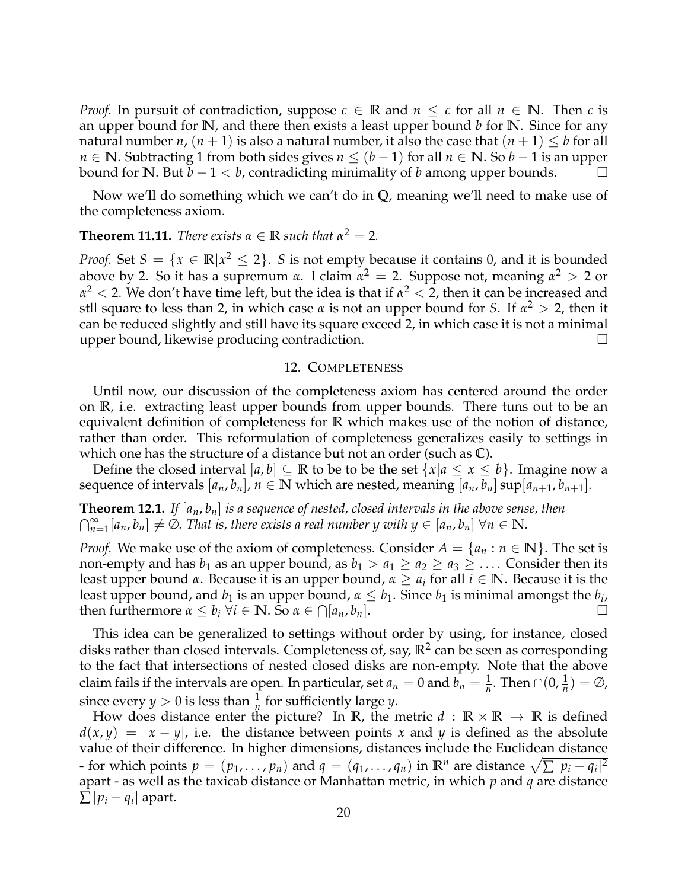*Proof.* In pursuit of contradiction, suppose  $c \in \mathbb{R}$  and  $n \leq c$  for all  $n \in \mathbb{N}$ . Then *c* is an upper bound for **N**, and there then exists a least upper bound *b* for **N**. Since for any natural number *n*,  $(n + 1)$  is also a natural number, it also the case that  $(n + 1) \leq b$  for all *n* ∈ **N**. Subtracting 1 from both sides gives *n* ≤ (*b* − 1) for all *n* ∈ **N**. So *b* − 1 is an upper bound for **N**. But  $b-1 < b$ , contradicting minimality of *b* among upper bounds.

Now we'll do something which we can't do in **Q**, meaning we'll need to make use of the completeness axiom.

**Theorem 11.11.** *There exists*  $\alpha \in \mathbb{R}$  *such that*  $\alpha^2 = 2$ *.* 

*Proof.* Set  $S = \{x \in \mathbb{R} | x^2 \leq 2\}$ . *S* is not empty because it contains 0, and it is bounded above by 2. So it has a supremum *α*. I claim *α* <sup>2</sup> = 2. Suppose not, meaning *α* <sup>2</sup> > 2 or  $α<sup>2</sup> < 2$ . We don't have time left, but the idea is that if  $α<sup>2</sup> < 2$ , then it can be increased and stll square to less than 2, in which case *α* is not an upper bound for *S*. If *α* <sup>2</sup> > 2, then it can be reduced slightly and still have its square exceed 2, in which case it is not a minimal upper bound, likewise producing contradiction.

## 12. COMPLETENESS

<span id="page-19-0"></span>Until now, our discussion of the completeness axiom has centered around the order on **R**, i.e. extracting least upper bounds from upper bounds. There tuns out to be an equivalent definition of completeness for **R** which makes use of the notion of distance, rather than order. This reformulation of completeness generalizes easily to settings in which one has the structure of a distance but not an order (such as **C**).

Define the closed interval  $[a, b] \subseteq \mathbb{R}$  to be to be the set  $\{x | a \le x \le b\}$ . Imagine now a sequence of intervals  $[a_n, b_n]$ ,  $n \in \mathbb{N}$  which are nested, meaning  $[a_n, b_n]$  sup $[a_{n+1}, b_{n+1}]$ .

**Theorem 12.1.** *If* [*an*, *bn*] *is a sequence of nested, closed intervals in the above sense, then*  $\bigcap_{n=1}^{\infty} [a_n, b_n] \neq \emptyset$ . That is, there exists a real number y with  $y \in [a_n, b_n]$   $\forall n \in \mathbb{N}$ .

*Proof.* We make use of the axiom of completeness. Consider  $A = \{a_n : n \in \mathbb{N}\}\.$  The set is non-empty and has  $b_1$  as an upper bound, as  $b_1 > a_1 \ge a_2 \ge a_3 \ge \dots$  Consider then its least upper bound *α*. Because it is an upper bound, *α* ≥ *a<sup>i</sup>* for all *i* ∈ **N**. Because it is the least upper bound, and  $b_1$  is an upper bound,  $\alpha \leq b_1$ . Since  $b_1$  is minimal amongst the  $b_i$ , then furthermore  $\alpha \leq b_i$   $\forall i \in \mathbb{N}$ . So  $\alpha \in \bigcap [a_n, b_n]$ .

This idea can be generalized to settings without order by using, for instance, closed disks rather than closed intervals. Completeness of, say, **R**<sup>2</sup> can be seen as corresponding to the fact that intersections of nested closed disks are non-empty. Note that the above claim fails if the intervals are open. In particular, set  $a_n = 0$  and  $b_n = \frac{1}{n}$ . Then  $\cap (0, \frac{1}{n}) = \emptyset$ , since every *y* > 0 is less than  $\frac{1}{n}$  for sufficiently large *y*.

How does distance enter the picture? In  $\mathbb{R}$ , the metric  $d : \mathbb{R} \times \mathbb{R} \to \mathbb{R}$  is defined  $d(x, y) = |x - y|$ , i.e. the distance between points x and y is defined as the absolute value of their difference. In higher dimensions, distances include the Euclidean distance - for which points  $p = (p_1, \ldots, p_n)$  and  $q = (q_1, \ldots, q_n)$  in  $\mathbb{R}^n$  are distance  $\sqrt{\sum |p_i - q_i|^2}$ apart - as well as the taxicab distance or Manhattan metric, in which *p* and *q* are distance  $\sum |p_i - q_i|$  apart.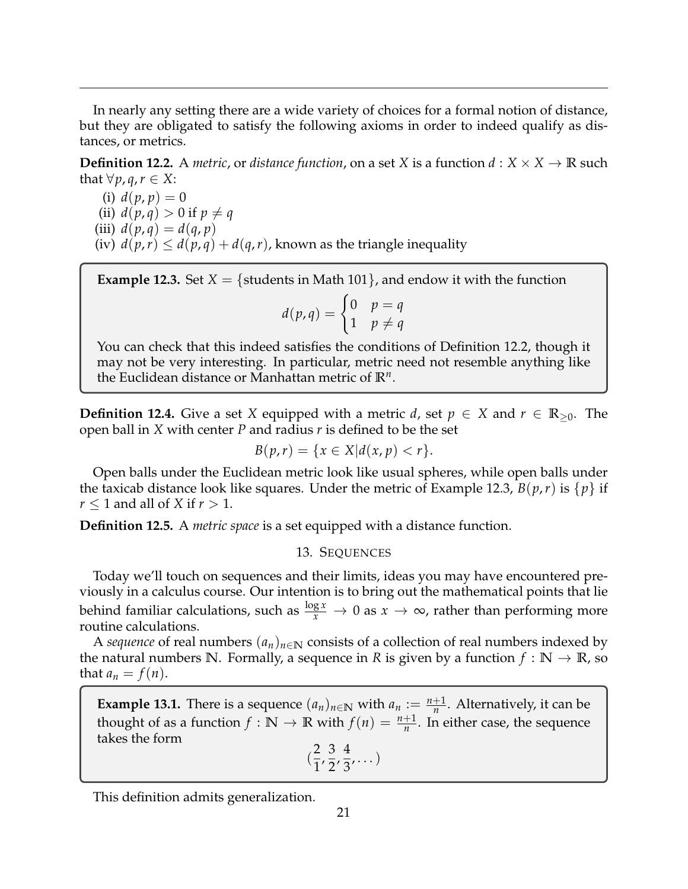In nearly any setting there are a wide variety of choices for a formal notion of distance, but they are obligated to satisfy the following axioms in order to indeed qualify as distances, or metrics.

**Definition 12.2.** A *metric*, or *distance function*, on a set *X* is a function  $d: X \times X \rightarrow \mathbb{R}$  such that  $∀p, q, r ∈ X$ :

(i)  $d(p, p) = 0$  $\text{(ii)}\ d(p,q) > 0 \text{ if } p \neq q$ (iii)  $d(p,q) = d(q,p)$ (iv)  $d(p,r) \leq d(p,q) + d(q,r)$ , known as the triangle inequality

**Example 12.3.** Set  $X = \{$  students in Math 101 $\}$ , and endow it with the function

$$
d(p,q) = \begin{cases} 0 & p = q \\ 1 & p \neq q \end{cases}
$$

You can check that this indeed satisfies the conditions of Definition 12.2, though it may not be very interesting. In particular, metric need not resemble anything like the Euclidean distance or Manhattan metric of **R***<sup>n</sup>* .

**Definition 12.4.** Give a set *X* equipped with a metric *d*, set  $p \in X$  and  $r \in \mathbb{R}_{\geq 0}$ . The open ball in *X* with center *P* and radius *r* is defined to be the set

$$
B(p,r) = \{x \in X | d(x,p) < r\}.
$$

Open balls under the Euclidean metric look like usual spheres, while open balls under the taxicab distance look like squares. Under the metric of Example 12.3,  $B(p,r)$  is  $\{p\}$  if  $r \leq 1$  and all of *X* if  $r > 1$ .

<span id="page-20-0"></span>**Definition 12.5.** A *metric space* is a set equipped with a distance function.

# 13. SEQUENCES

Today we'll touch on sequences and their limits, ideas you may have encountered previously in a calculus course. Our intention is to bring out the mathematical points that lie behind familiar calculations, such as  $\frac{\log x}{x} \to 0$  as  $x \to \infty$ , rather than performing more routine calculations.

A *sequence* of real numbers  $(a_n)_{n \in \mathbb{N}}$  consists of a collection of real numbers indexed by the natural numbers N. Formally, a sequence in *R* is given by a function  $f : \mathbb{N} \to \mathbb{R}$ , so that  $a_n = f(n)$ .

**Example 13.1.** There is a sequence  $(a_n)_{n \in \mathbb{N}}$  with  $a_n := \frac{n+1}{n}$ . Alternatively, it can be thought of as a function  $f : \mathbb{N} \to \mathbb{R}$  with  $f(n) = \frac{n+1}{n}$ . In either case, the sequence takes the form

$$
(\frac{2}{1}, \frac{3}{2}, \frac{4}{3}, \dots)
$$

This definition admits generalization.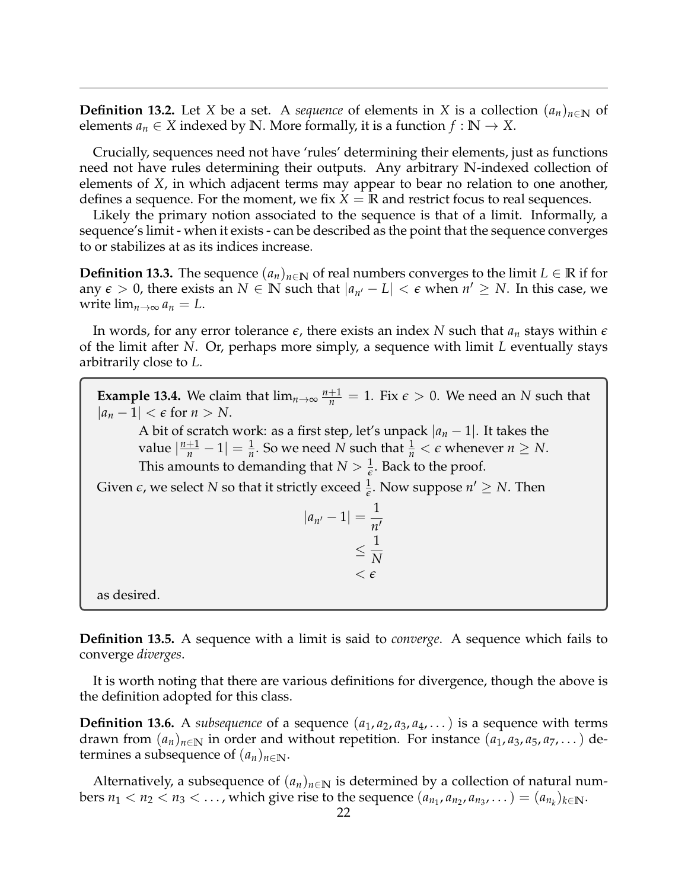**Definition 13.2.** Let *X* be a set. A *sequence* of elements in *X* is a collection  $(a_n)_{n\in\mathbb{N}}$  of elements  $a_n \in X$  indexed by  $\mathbb{N}$ . More formally, it is a function  $f : \mathbb{N} \to X$ .

Crucially, sequences need not have 'rules' determining their elements, just as functions need not have rules determining their outputs. Any arbitrary **N**-indexed collection of elements of *X*, in which adjacent terms may appear to bear no relation to one another, defines a sequence. For the moment, we fix  $X = \mathbb{R}$  and restrict focus to real sequences.

Likely the primary notion associated to the sequence is that of a limit. Informally, a sequence's limit - when it exists - can be described as the point that the sequence converges to or stabilizes at as its indices increase.

**Definition 13.3.** The sequence  $(a_n)_{n \in \mathbb{N}}$  of real numbers converges to the limit *L* ∈ **R** if for any  $\epsilon > 0$ , there exists an  $N \in \mathbb{N}$  such that  $|a_{n'} - L| < \epsilon$  when  $n' \ge N$ . In this case, we write  $\lim_{n\to\infty} a_n = L$ .

In words, for any error tolerance  $\epsilon$ , there exists an index *N* such that  $a_n$  stays within  $\epsilon$ of the limit after *N*. Or, perhaps more simply, a sequence with limit *L* eventually stays arbitrarily close to *L*.

**Example 13.4.** We claim that  $\lim_{n\to\infty} \frac{n+1}{n} = 1$ . Fix  $\epsilon > 0$ . We need an *N* such that  $|a_n - 1| < \epsilon$  for  $n > N$ .

A bit of scratch work: as a first step, let's unpack  $|a_n - 1|$ . It takes the value  $\left|\frac{n+1}{n} - 1\right| = \frac{1}{n}$ . So we need *N* such that  $\frac{1}{n} < \epsilon$  whenever  $n \ge N$ . This amounts to demanding that  $N > \frac{1}{\epsilon}$ . Back to the proof.

Given  $\epsilon$ , we select  $N$  so that it strictly exceed  $\frac{1}{\epsilon}$ . Now suppose  $n' \geq N$ . Then

$$
|a_{n'} - 1| = \frac{1}{n'} \leq \frac{1}{N} \leq \epsilon
$$

as desired.

**Definition 13.5.** A sequence with a limit is said to *converge*. A sequence which fails to converge *diverges*.

It is worth noting that there are various definitions for divergence, though the above is the definition adopted for this class.

**Definition 13.6.** A *subsequence* of a sequence  $(a_1, a_2, a_3, a_4, \ldots)$  is a sequence with terms drawn from  $(a_n)_{n\in\mathbb{N}}$  in order and without repetition. For instance  $(a_1, a_3, a_5, a_7, \dots)$  determines a subsequence of  $(a_n)_{n \in \mathbb{N}}$ .

Alternatively, a subsequence of  $(a_n)_{n \in \mathbb{N}}$  is determined by a collection of natural numbers  $n_1 < n_2 < n_3 < \ldots$ , which give rise to the sequence  $(a_{n_1}, a_{n_2}, a_{n_3}, \ldots) = (a_{n_k})_{k \in \mathbb{N}}$ .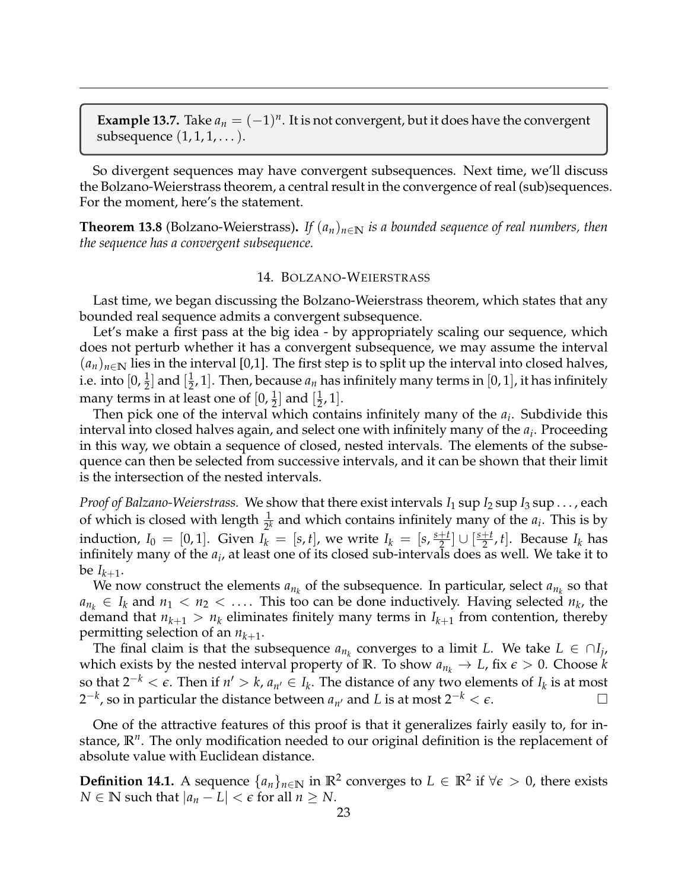**Example 13.7.** Take  $a_n = (-1)^n$ . It is not convergent, but it does have the convergent subsequence  $(1, 1, 1, \dots)$ .

So divergent sequences may have convergent subsequences. Next time, we'll discuss the Bolzano-Weierstrass theorem, a central result in the convergence of real (sub)sequences. For the moment, here's the statement.

**Theorem 13.8** (Bolzano-Weierstrass). If  $(a_n)_{n\in\mathbb{N}}$  is a bounded sequence of real numbers, then *the sequence has a convergent subsequence.*

# 14. BOLZANO-WEIERSTRASS

<span id="page-22-0"></span>Last time, we began discussing the Bolzano-Weierstrass theorem, which states that any bounded real sequence admits a convergent subsequence.

Let's make a first pass at the big idea - by appropriately scaling our sequence, which does not perturb whether it has a convergent subsequence, we may assume the interval  $(a_n)_{n\in\mathbb{N}}$  lies in the interval [0,1]. The first step is to split up the interval into closed halves, i.e. into  $[0, \frac{1}{2}]$  and  $[\frac{1}{2}]$  $\frac{1}{2}$ , 1]. Then, because  $a_n$  has infinitely many terms in [0, 1], it has infinitely many terms in at least one of  $[0, \frac{1}{2}]$  and  $[\frac{1}{2}]$  $\frac{1}{2}$ , 1].

Then pick one of the interval which contains infinitely many of the *a<sup>i</sup>* . Subdivide this interval into closed halves again, and select one with infinitely many of the *a<sup>i</sup>* . Proceeding in this way, we obtain a sequence of closed, nested intervals. The elements of the subsequence can then be selected from successive intervals, and it can be shown that their limit is the intersection of the nested intervals.

*Proof of Balzano-Weierstrass.* We show that there exist intervals  $I_1$  sup  $I_2$  sup  $I_3$  sup ..., each of which is closed with length  $\frac{1}{2^k}$  and which contains infinitely many of the  $a_i$ . This is by induction,  $I_0 = [0, 1]$ . Given  $I_k = [s, t]$ , we write  $I_k = [s, \frac{s+t}{2}]$  $\left[\frac{t}{2}\right]$   $\cup$   $\left[\frac{s+t}{2}\right]$  $\frac{1+t}{2}$ , *t*]. Because *I<sub>k</sub>* has infinitely many of the *a<sup>i</sup>* , at least one of its closed sub-intervals does as well. We take it to be  $I_{k+1}$ .

We now construct the elements  $a_{n_k}$  of the subsequence. In particular, select  $a_{n_k}$  so that  $a_{n_k} \in I_k$  and  $n_1 < n_2 < \ldots$ . This too can be done inductively. Having selected  $n_k$ , the demand that  $n_{k+1} > n_k$  eliminates finitely many terms in  $I_{k+1}$  from contention, thereby permitting selection of an  $n_{k+1}$ .

The final claim is that the subsequence  $a_{n_k}$  converges to a limit *L*. We take  $L \in \bigcap_{j}$ , which exists by the nested interval property of **R**. To show  $a_{n_k} \to L$ , fix  $\epsilon > 0$ . Choose *k* so that  $2^{-k} < \epsilon$ . Then if  $n' > k$ ,  $a_{n'} \in I_k$ . The distance of any two elements of  $I_k$  is at most  $2^{-k}$ , so in particular the distance between  $a_{n'}$  and *L* is at most  $2^{-k} < \epsilon$ . □

One of the attractive features of this proof is that it generalizes fairly easily to, for instance, **R***<sup>n</sup>* . The only modification needed to our original definition is the replacement of absolute value with Euclidean distance.

**Definition 14.1.** A sequence  $\{a_n\}_{n \in \mathbb{N}}$  in  $\mathbb{R}^2$  converges to  $L \in \mathbb{R}^2$  if  $∀ε > 0$ , there exists *N* ∈ **N** such that  $|a_n - L| < \epsilon$  for all  $n \geq N$ .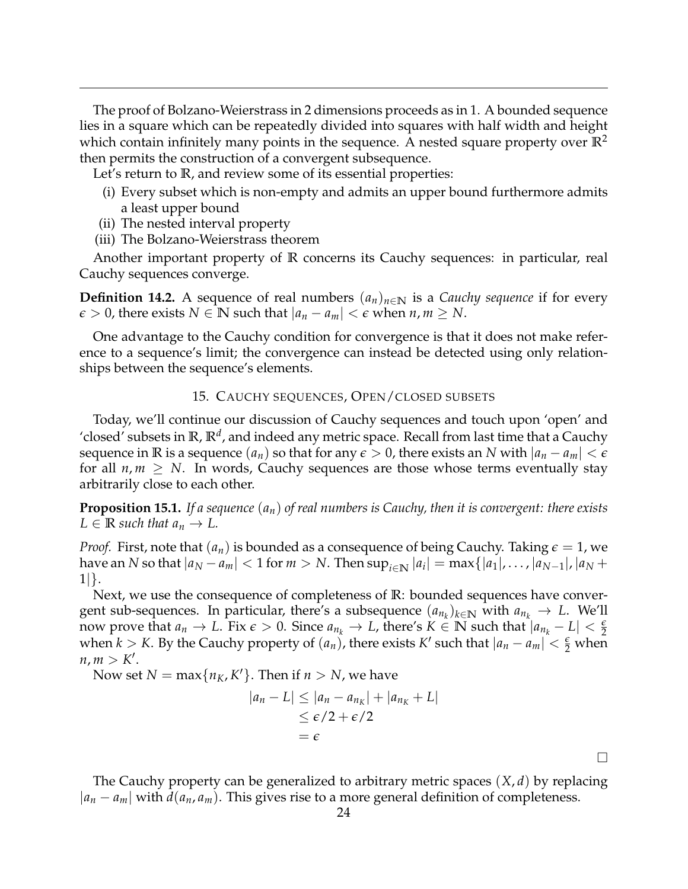The proof of Bolzano-Weierstrass in 2 dimensions proceeds as in 1. A bounded sequence lies in a square which can be repeatedly divided into squares with half width and height which contain infinitely many points in the sequence. A nested square property over  $\mathbb{R}^2$ then permits the construction of a convergent subsequence.

Let's return to **R**, and review some of its essential properties:

- (i) Every subset which is non-empty and admits an upper bound furthermore admits a least upper bound
- (ii) The nested interval property
- (iii) The Bolzano-Weierstrass theorem

Another important property of **R** concerns its Cauchy sequences: in particular, real Cauchy sequences converge.

**Definition 14.2.** A sequence of real numbers  $(a_n)_{n\in\mathbb{N}}$  is a *Cauchy sequence* if for every  $\epsilon > 0$ , there exists  $N \in \mathbb{N}$  such that  $|a_n - a_m| < \epsilon$  when  $n, m \geq N$ .

One advantage to the Cauchy condition for convergence is that it does not make reference to a sequence's limit; the convergence can instead be detected using only relationships between the sequence's elements.

## 15. CAUCHY SEQUENCES, OPEN/CLOSED SUBSETS

<span id="page-23-0"></span>Today, we'll continue our discussion of Cauchy sequences and touch upon 'open' and 'closed' subsets in **R**, **R***<sup>d</sup>* , and indeed any metric space. Recall from last time that a Cauchy sequence in **R** is a sequence  $(a_n)$  so that for any  $\epsilon > 0$ , there exists an *N* with  $|a_n - a_m| < \epsilon$ for all  $n, m \geq N$ . In words, Cauchy sequences are those whose terms eventually stay arbitrarily close to each other.

**Proposition 15.1.** *If a sequence* (*an*) *of real numbers is Cauchy, then it is convergent: there exists*  $L \in \mathbb{R}$  *such that*  $a_n \to L$ .

*Proof.* First, note that  $(a_n)$  is bounded as a consequence of being Cauchy. Taking  $\epsilon = 1$ , we  $\max$  an *N* so that  $|a_N - a_m| < 1$  for  $m > N$ . Then  $\sup_{i \in \mathbb{N}} |a_i| = \max\{|a_1|, \ldots, |a_{N-1}|, |a_N + m\}$ 1|}.

Next, we use the consequence of completeness of **R**: bounded sequences have convergent sub-sequences. In particular, there's a subsequence  $(a_{n_k})_{k \in \mathbb{N}}$  with  $a_{n_k} \to L$ . We'll now prove that  $a_n \to L$ . Fix  $\epsilon > 0$ . Since  $a_{n_k} \to L$ , there's  $K \in \mathbb{N}$  such that  $|a_{n_k} - L| < \frac{\epsilon}{2}$ when  $k > K$ . By the Cauchy property of  $(a_n)$ , there exists  $K'$  such that  $|a_n - a_m| < \frac{\epsilon}{2}$  when  $n, m > K'.$ 

Now set  $N = \max\{n_K, K'\}$ . Then if  $n > N$ , we have

$$
|a_n - L| \le |a_n - a_{n_K}| + |a_{n_K} + L|
$$
  
\n
$$
\le \epsilon/2 + \epsilon/2
$$
  
\n
$$
= \epsilon
$$

 $\Box$ 

The Cauchy property can be generalized to arbitrary metric spaces (*X*, *d*) by replacing |*a<sup>n</sup>* − *am*| with *d*(*an*, *am*). This gives rise to a more general definition of completeness.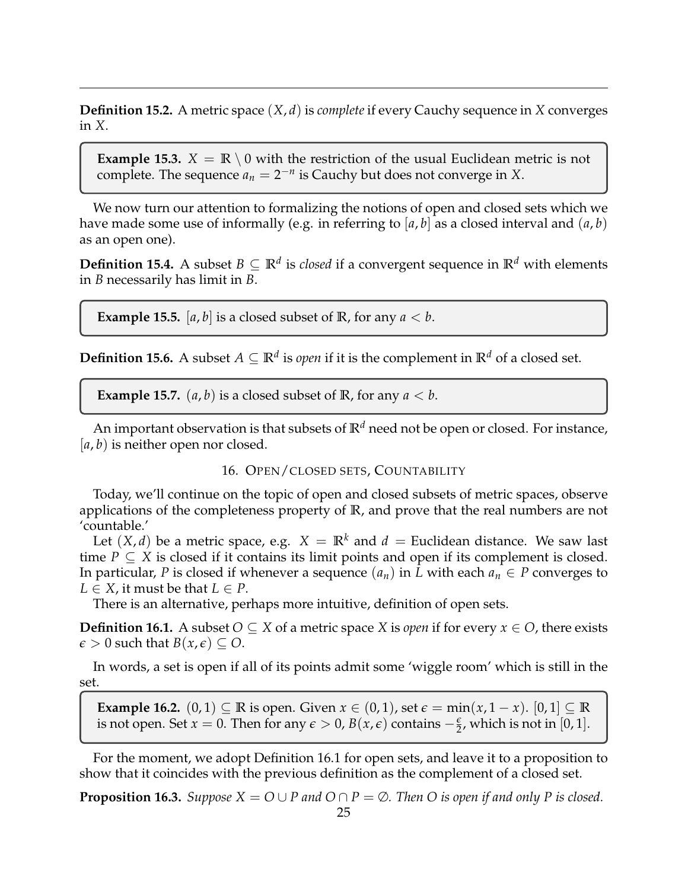**Definition 15.2.** A metric space (*X*, *d*) is *complete* if every Cauchy sequence in *X* converges in *X*.

**Example 15.3.**  $X = \mathbb{R} \setminus 0$  with the restriction of the usual Euclidean metric is not complete. The sequence  $a_n = 2^{-n}$  is Cauchy but does not converge in *X*.

We now turn our attention to formalizing the notions of open and closed sets which we have made some use of informally (e.g. in referring to  $[a, b]$  as a closed interval and  $(a, b)$ ) as an open one).

**Definition 15.4.** A subset  $B \subseteq \mathbb{R}^d$  is *closed* if a convergent sequence in  $\mathbb{R}^d$  with elements in *B* necessarily has limit in *B*.

**Example 15.5.** [a, b] is a closed subset of **R**, for any  $a < b$ .

**Definition 15.6.** A subset  $A \subseteq \mathbb{R}^d$  is *open* if it is the complement in  $\mathbb{R}^d$  of a closed set.

**Example 15.7.**  $(a, b)$  is a closed subset of **R**, for any  $a < b$ .

An important observation is that subsets of  $\mathbb{R}^d$  need not be open or closed. For instance, [*a*, *b*) is neither open nor closed.

# 16. OPEN/CLOSED SETS, COUNTABILITY

<span id="page-24-0"></span>Today, we'll continue on the topic of open and closed subsets of metric spaces, observe applications of the completeness property of **R**, and prove that the real numbers are not 'countable.'

Let  $(X, d)$  be a metric space, e.g.  $X = \mathbb{R}^k$  and  $d =$  Euclidean distance. We saw last time  $P \subseteq X$  is closed if it contains its limit points and open if its complement is closed. In particular, *P* is closed if whenever a sequence  $(a_n)$  in *L* with each  $a_n \in P$  converges to  $L \in X$ , it must be that  $L \in P$ .

There is an alternative, perhaps more intuitive, definition of open sets.

**Definition 16.1.** A subset *O* ⊆ *X* of a metric space *X* is *open* if for every *x* ∈ *O*, there exists  $\epsilon > 0$  such that  $B(x, \epsilon) \subseteq O$ .

In words, a set is open if all of its points admit some 'wiggle room' which is still in the set.

**Example 16.2.**  $(0, 1) \subseteq \mathbb{R}$  is open. Given  $x \in (0, 1)$ , set  $\epsilon = \min(x, 1 - x)$ .  $[0, 1] \subseteq \mathbb{R}$ is not open. Set *x* = 0. Then for any  $\epsilon > 0$ ,  $B(x, \epsilon)$  contains  $-\frac{\epsilon}{2}$ , which is not in [0, 1].

For the moment, we adopt Definition 16.1 for open sets, and leave it to a proposition to show that it coincides with the previous definition as the complement of a closed set.

**Proposition 16.3.** *Suppose*  $X = O \cup P$  *and*  $O \cap P = \emptyset$ *. Then O is open if and only P is closed.*